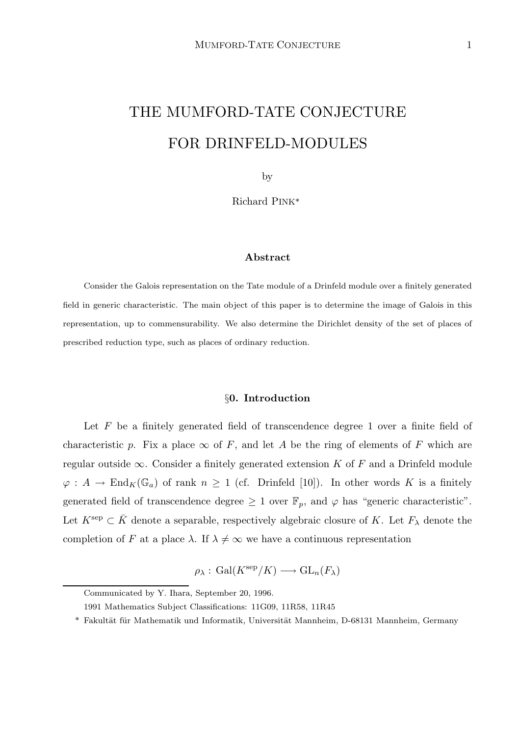# THE MUMFORD-TATE CONJECTURE FOR DRINFELD-MODULES

by

Richard PINK\*

#### Abstract

Consider the Galois representation on the Tate module of a Drinfeld module over a finitely generated field in generic characteristic. The main object of this paper is to determine the image of Galois in this representation, up to commensurability. We also determine the Dirichlet density of the set of places of prescribed reduction type, such as places of ordinary reduction.

### §0. Introduction

Let  $F$  be a finitely generated field of transcendence degree 1 over a finite field of characteristic p. Fix a place  $\infty$  of F, and let A be the ring of elements of F which are regular outside  $\infty$ . Consider a finitely generated extension K of F and a Drinfeld module  $\varphi: A \to \text{End}_K(\mathbb{G}_a)$  of rank  $n \geq 1$  (cf. Drinfeld [10]). In other words K is a finitely generated field of transcendence degree  $\geq 1$  over  $\mathbb{F}_p$ , and  $\varphi$  has "generic characteristic". Let  $K^{\text{sep}} \subset \overline{K}$  denote a separable, respectively algebraic closure of K. Let  $F_{\lambda}$  denote the completion of F at a place  $\lambda$ . If  $\lambda \neq \infty$  we have a continuous representation

 $\rho_{\lambda}: \text{Gal}(K^{\text{sep}}/K) \longrightarrow \text{GL}_n(F_{\lambda})$ 

Communicated by Y. Ihara, September 20, 1996.

<sup>1991</sup> Mathematics Subject Classifications: 11G09, 11R58, 11R45

<sup>\*</sup> Fakultät für Mathematik und Informatik, Universität Mannheim, D-68131 Mannheim, Germany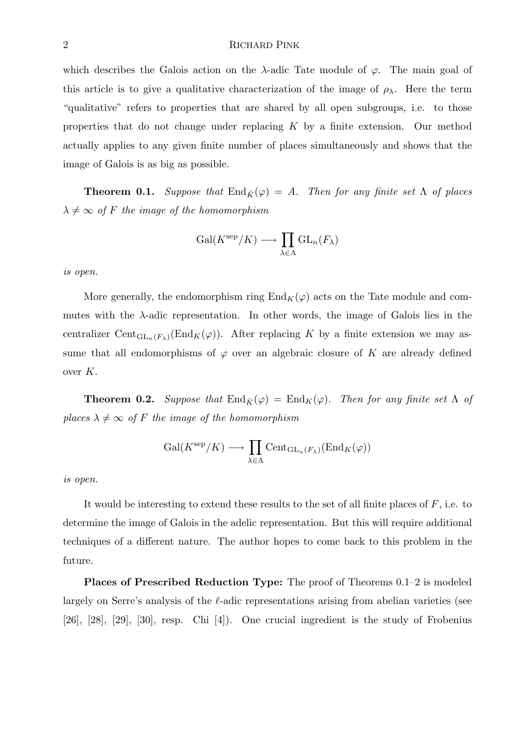which describes the Galois action on the  $\lambda$ -adic Tate module of  $\varphi$ . The main goal of this article is to give a qualitative characterization of the image of  $\rho_{\lambda}$ . Here the term "qualitative" refers to properties that are shared by all open subgroups, i.e. to those properties that do not change under replacing  $K$  by a finite extension. Our method actually applies to any given finite number of places simultaneously and shows that the image of Galois is as big as possible.

**Theorem 0.1.** Suppose that  $\text{End}_{\bar{K}}(\varphi) = A$ . Then for any finite set  $\Lambda$  of places  $\lambda \neq \infty$  of F the image of the homomorphism

$$
\operatorname{Gal}(K^{\operatorname{sep}}/K) \longrightarrow \prod_{\lambda \in \Lambda} \operatorname{GL}_n(F_{\lambda})
$$

is open.

More generally, the endomorphism ring  $\text{End}_K(\varphi)$  acts on the Tate module and commutes with the  $\lambda$ -adic representation. In other words, the image of Galois lies in the centralizer Cent<sub>GLn</sub>(F<sub>λ</sub>)(End<sub>K</sub>( $\varphi$ )). After replacing K by a finite extension we may assume that all endomorphisms of  $\varphi$  over an algebraic closure of K are already defined over K.

**Theorem 0.2.** Suppose that  $\text{End}_{\bar{K}}(\varphi) = \text{End}_K(\varphi)$ . Then for any finite set  $\Lambda$  of places  $\lambda \neq \infty$  of F the image of the homomorphism

$$
\operatorname{Gal}(K^{\mathrm{sep}}/K) \longrightarrow \prod_{\lambda \in \Lambda} \operatorname{Cent}_{\operatorname{GL}_n(F_{\lambda})}(\operatorname{End}_K(\varphi))
$$

is open.

It would be interesting to extend these results to the set of all finite places of F, i.e. to determine the image of Galois in the adelic representation. But this will require additional techniques of a different nature. The author hopes to come back to this problem in the future.

Places of Prescribed Reduction Type: The proof of Theorems 0.1–2 is modeled largely on Serre's analysis of the  $\ell$ -adic representations arising from abelian varieties (see [26], [28], [29], [30], resp. Chi [4]). One crucial ingredient is the study of Frobenius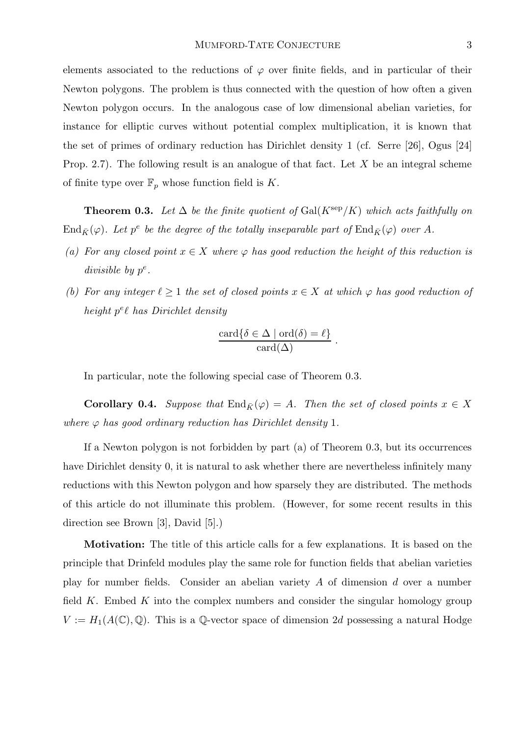elements associated to the reductions of  $\varphi$  over finite fields, and in particular of their Newton polygons. The problem is thus connected with the question of how often a given Newton polygon occurs. In the analogous case of low dimensional abelian varieties, for instance for elliptic curves without potential complex multiplication, it is known that the set of primes of ordinary reduction has Dirichlet density 1 (cf. Serre [26], Ogus [24] Prop. 2.7). The following result is an analogue of that fact. Let  $X$  be an integral scheme of finite type over  $\mathbb{F}_p$  whose function field is K.

**Theorem 0.3.** Let  $\Delta$  be the finite quotient of Gal( $K^{\text{sep}}/K$ ) which acts faithfully on  $\mathrm{End}_{\bar{K}}(\varphi)$ . Let  $p^e$  be the degree of the totally inseparable part of  $\mathrm{End}_{\bar{K}}(\varphi)$  over A.

- (a) For any closed point  $x \in X$  where  $\varphi$  has good reduction the height of this reduction is divisible by  $p^e$ .
- (b) For any integer  $\ell \geq 1$  the set of closed points  $x \in X$  at which  $\varphi$  has good reduction of height  $p^e\ell$  has Dirichlet density

$$
\frac{\operatorname{card}\{\delta \in \Delta \mid \operatorname{ord}(\delta) = \ell\}}{\operatorname{card}(\Delta)}.
$$

In particular, note the following special case of Theorem 0.3.

**Corollary 0.4.** Suppose that  $\text{End}_{\bar{K}}(\varphi) = A$ . Then the set of closed points  $x \in X$ where  $\varphi$  has good ordinary reduction has Dirichlet density 1.

If a Newton polygon is not forbidden by part (a) of Theorem 0.3, but its occurrences have Dirichlet density 0, it is natural to ask whether there are nevertheless infinitely many reductions with this Newton polygon and how sparsely they are distributed. The methods of this article do not illuminate this problem. (However, for some recent results in this direction see Brown [3], David [5].)

Motivation: The title of this article calls for a few explanations. It is based on the principle that Drinfeld modules play the same role for function fields that abelian varieties play for number fields. Consider an abelian variety A of dimension d over a number field  $K$ . Embed  $K$  into the complex numbers and consider the singular homology group  $V := H_1(A(\mathbb{C}), \mathbb{Q})$ . This is a Q-vector space of dimension 2d possessing a natural Hodge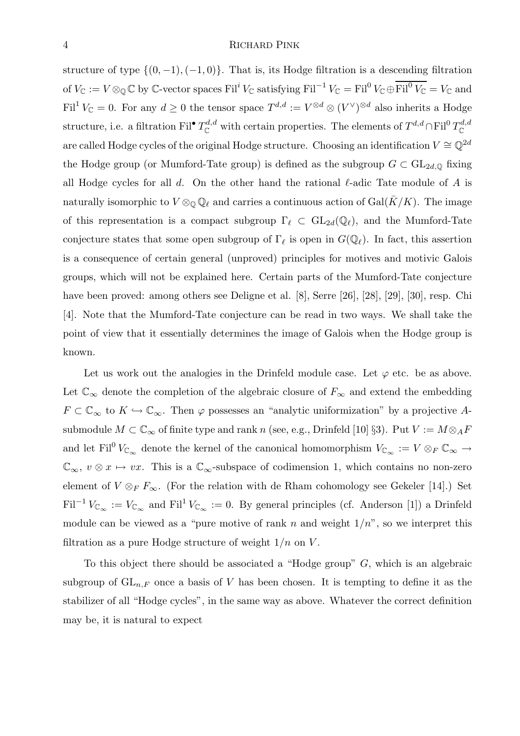structure of type  $\{(0, -1), (-1, 0)\}.$  That is, its Hodge filtration is a descending filtration of  $V_{\mathbb C} := V \otimes_{\mathbb Q} \mathbb C$  by  $\mathbb C$ -vector spaces  $\mathrm{Fil}^i$   $V_{\mathbb C}$  satisfying  $\mathrm{Fil}^{-1}$   $V_{\mathbb C} = \mathrm{Fil}^0$   $V_{\mathbb C} \oplus \mathrm{Fil}^0$   $V_{\mathbb C} = V_{\mathbb C}$  and Fil<sup>1</sup>  $V_{\mathbb{C}} = 0$ . For any  $d \geq 0$  the tensor space  $T^{d,d} := V^{\otimes d} \otimes (V^{\vee})^{\otimes d}$  also inherits a Hodge structure, i.e. a filtration Fil<sup>•</sup>  $T^{d,d}_\mathbb{C}$  with certain properties. The elements of  $T^{d,d}\cap$  Fil<sup>0</sup>  $T^{d,d}_\mathbb{C}$  $\mathbb C$ are called Hodge cycles of the original Hodge structure. Choosing an identification  $V \cong \mathbb{Q}^{2d}$ the Hodge group (or Mumford-Tate group) is defined as the subgroup  $G \subset GL_{2d,\mathbb{Q}}$  fixing all Hodge cycles for all d. On the other hand the rational  $\ell$ -adic Tate module of A is naturally isomorphic to  $V \otimes_{\mathbb{Q}} \mathbb{Q}_{\ell}$  and carries a continuous action of Gal(K/K). The image of this representation is a compact subgroup  $\Gamma_\ell \subset GL_{2d}(\mathbb{Q}_\ell)$ , and the Mumford-Tate conjecture states that some open subgroup of  $\Gamma_\ell$  is open in  $G(\mathbb{Q}_\ell)$ . In fact, this assertion is a consequence of certain general (unproved) principles for motives and motivic Galois groups, which will not be explained here. Certain parts of the Mumford-Tate conjecture have been proved: among others see Deligne et al. [8], Serre [26], [28], [29], [30], resp. Chi [4]. Note that the Mumford-Tate conjecture can be read in two ways. We shall take the point of view that it essentially determines the image of Galois when the Hodge group is known.

Let us work out the analogies in the Drinfeld module case. Let  $\varphi$  etc. be as above. Let  $\mathbb{C}_{\infty}$  denote the completion of the algebraic closure of  $F_{\infty}$  and extend the embedding  $F \subset \mathbb{C}_{\infty}$  to  $K \hookrightarrow \mathbb{C}_{\infty}$ . Then  $\varphi$  possesses an "analytic uniformization" by a projective Asubmodule  $M \subset \mathbb{C}_{\infty}$  of finite type and rank n (see, e.g., Drinfeld [10] §3). Put  $V := M \otimes_A F$ and let Fil<sup>0</sup>  $V_{\mathbb{C}_{\infty}}$  denote the kernel of the canonical homomorphism  $V_{\mathbb{C}_{\infty}} := V \otimes_F \mathbb{C}_{\infty} \to$  $\mathbb{C}_{\infty}$ ,  $v \otimes x \mapsto vx$ . This is a  $\mathbb{C}_{\infty}$ -subspace of codimension 1, which contains no non-zero element of  $V \otimes_F F_\infty$ . (For the relation with de Rham cohomology see Gekeler [14].) Set  $\text{Fil}^{-1}V_{\mathbb{C}_{\infty}} := V_{\mathbb{C}_{\infty}}$  and  $\text{Fil}^1V_{\mathbb{C}_{\infty}} := 0$ . By general principles (cf. Anderson [1]) a Drinfeld module can be viewed as a "pure motive of rank n and weight  $1/n$ ", so we interpret this filtration as a pure Hodge structure of weight  $1/n$  on V.

To this object there should be associated a "Hodge group" G, which is an algebraic subgroup of  $GL_{n,F}$  once a basis of V has been chosen. It is tempting to define it as the stabilizer of all "Hodge cycles", in the same way as above. Whatever the correct definition may be, it is natural to expect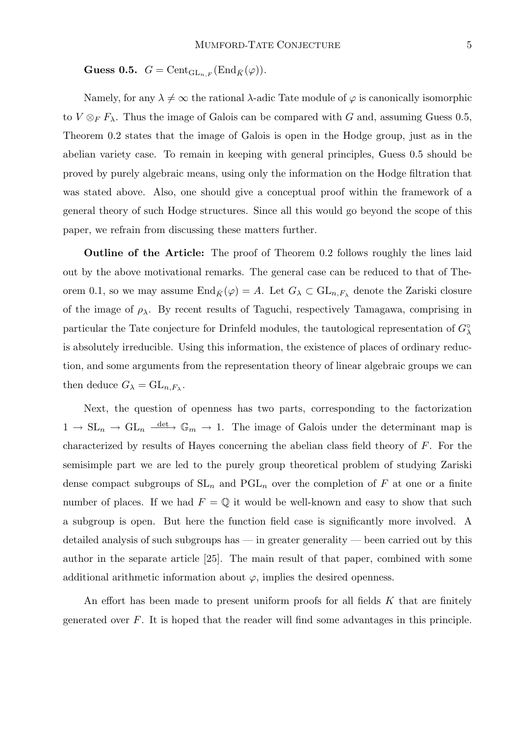Guess 0.5.  $G = \text{Cent}_{\text{GL}_{n,F}}(\text{End}_{\bar{K}}(\varphi)).$ 

Namely, for any  $\lambda \neq \infty$  the rational  $\lambda$ -adic Tate module of  $\varphi$  is canonically isomorphic to  $V \otimes_F F_\lambda$ . Thus the image of Galois can be compared with G and, assuming Guess 0.5, Theorem 0.2 states that the image of Galois is open in the Hodge group, just as in the abelian variety case. To remain in keeping with general principles, Guess 0.5 should be proved by purely algebraic means, using only the information on the Hodge filtration that was stated above. Also, one should give a conceptual proof within the framework of a general theory of such Hodge structures. Since all this would go beyond the scope of this paper, we refrain from discussing these matters further.

Outline of the Article: The proof of Theorem 0.2 follows roughly the lines laid out by the above motivational remarks. The general case can be reduced to that of Theorem 0.1, so we may assume  $\text{End}_{\bar{K}}(\varphi) = A$ . Let  $G_{\lambda} \subset \text{GL}_{n,F_{\lambda}}$  denote the Zariski closure of the image of  $\rho_{\lambda}$ . By recent results of Taguchi, respectively Tamagawa, comprising in particular the Tate conjecture for Drinfeld modules, the tautological representation of  $G^{\circ}_{\lambda}$ is absolutely irreducible. Using this information, the existence of places of ordinary reduction, and some arguments from the representation theory of linear algebraic groups we can then deduce  $G_{\lambda} = GL_{n,F_{\lambda}}$ .

Next, the question of openness has two parts, corresponding to the factorization  $1 \to SL_n \to GL_n \longrightarrow \mathbb{G}_m \to 1$ . The image of Galois under the determinant map is characterized by results of Hayes concerning the abelian class field theory of F. For the semisimple part we are led to the purely group theoretical problem of studying Zariski dense compact subgroups of  $SL_n$  and  $PGL_n$  over the completion of F at one or a finite number of places. If we had  $F = \mathbb{Q}$  it would be well-known and easy to show that such a subgroup is open. But here the function field case is significantly more involved. A detailed analysis of such subgroups has — in greater generality — been carried out by this author in the separate article [25]. The main result of that paper, combined with some additional arithmetic information about  $\varphi$ , implies the desired openness.

An effort has been made to present uniform proofs for all fields  $K$  that are finitely generated over  $F$ . It is hoped that the reader will find some advantages in this principle.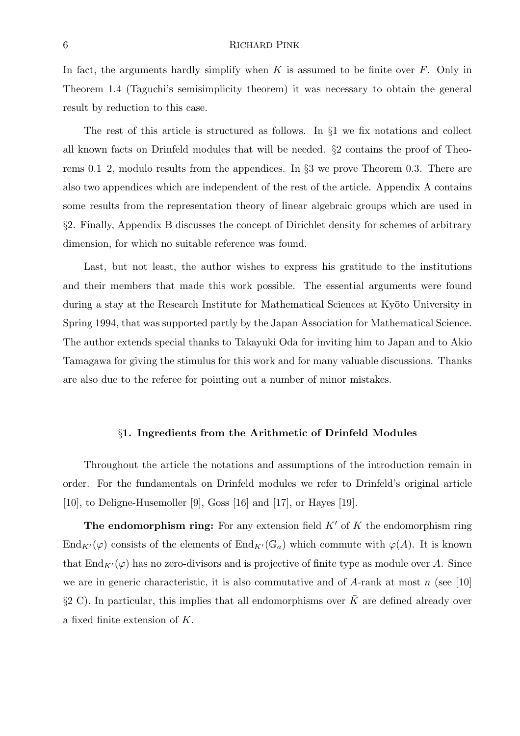In fact, the arguments hardly simplify when K is assumed to be finite over  $F$ . Only in Theorem 1.4 (Taguchi's semisimplicity theorem) it was necessary to obtain the general result by reduction to this case.

The rest of this article is structured as follows. In §1 we fix notations and collect all known facts on Drinfeld modules that will be needed. §2 contains the proof of Theorems 0.1–2, modulo results from the appendices. In §3 we prove Theorem 0.3. There are also two appendices which are independent of the rest of the article. Appendix A contains some results from the representation theory of linear algebraic groups which are used in §2. Finally, Appendix B discusses the concept of Dirichlet density for schemes of arbitrary dimension, for which no suitable reference was found.

Last, but not least, the author wishes to express his gratitude to the institutions and their members that made this work possible. The essential arguments were found during a stay at the Research Institute for Mathematical Sciences at Kyōto University in Spring 1994, that was supported partly by the Japan Association for Mathematical Science. The author extends special thanks to Takayuki Oda for inviting him to Japan and to Akio Tamagawa for giving the stimulus for this work and for many valuable discussions. Thanks are also due to the referee for pointing out a number of minor mistakes.

#### §1. Ingredients from the Arithmetic of Drinfeld Modules

Throughout the article the notations and assumptions of the introduction remain in order. For the fundamentals on Drinfeld modules we refer to Drinfeld's original article [10], to Deligne-Husemoller [9], Goss [16] and [17], or Hayes [19].

The endomorphism ring: For any extension field  $K'$  of K the endomorphism ring End<sub>K'</sub>( $\varphi$ ) consists of the elements of End<sub>K'</sub>( $\mathbb{G}_a$ ) which commute with  $\varphi(A)$ . It is known that  $\text{End}_{K'}(\varphi)$  has no zero-divisors and is projective of finite type as module over A. Since we are in generic characteristic, it is also commutative and of  $A$ -rank at most n (see [10] §2 C). In particular, this implies that all endomorphisms over  $\bar{K}$  are defined already over a fixed finite extension of K.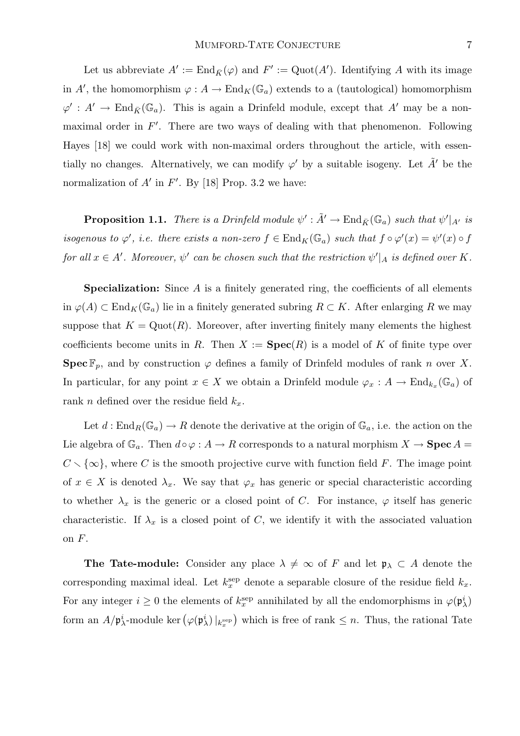Let us abbreviate  $A' := \text{End}_{\bar{K}}(\varphi)$  and  $F' := \text{Quot}(A')$ . Identifying A with its image in A', the homomorphism  $\varphi: A \to \text{End}_K(\mathbb{G}_a)$  extends to a (tautological) homomorphism  $\varphi' : A' \to \text{End}_{\bar{K}}(\mathbb{G}_a)$ . This is again a Drinfeld module, except that  $A'$  may be a nonmaximal order in  $F'$ . There are two ways of dealing with that phenomenon. Following Hayes [18] we could work with non-maximal orders throughout the article, with essentially no changes. Alternatively, we can modify  $\varphi'$  by a suitable isogeny. Let  $\tilde{A}'$  be the normalization of  $A'$  in  $F'$ . By [18] Prop. 3.2 we have:

**Proposition 1.1.** There is a Drinfeld module  $\psi': \tilde{A}' \to \text{End}_{\bar{K}}(\mathbb{G}_a)$  such that  $\psi'|_{A'}$  is isogenous to  $\varphi'$ , i.e. there exists a non-zero  $f \in End_K(\mathbb{G}_a)$  such that  $f \circ \varphi'(x) = \psi'(x) \circ f$ for all  $x \in A'$ . Moreover,  $\psi'$  can be chosen such that the restriction  $\psi'|_A$  is defined over K.

**Specialization:** Since  $A$  is a finitely generated ring, the coefficients of all elements in  $\varphi(A) \subset \text{End}_K(\mathbb{G}_a)$  lie in a finitely generated subring  $R \subset K$ . After enlarging R we may suppose that  $K = \text{Quot}(R)$ . Moreover, after inverting finitely many elements the highest coefficients become units in R. Then  $X := \textbf{Spec}(R)$  is a model of K of finite type over **Spec**  $\mathbb{F}_p$ , and by construction  $\varphi$  defines a family of Drinfeld modules of rank n over X. In particular, for any point  $x \in X$  we obtain a Drinfeld module  $\varphi_x : A \to \text{End}_{k_x}(\mathbb{G}_a)$  of rank n defined over the residue field  $k_x$ .

Let  $d : \text{End}_R(\mathbb{G}_a) \to R$  denote the derivative at the origin of  $\mathbb{G}_a$ , i.e. the action on the Lie algebra of  $\mathbb{G}_a$ . Then  $d \circ \varphi : A \to R$  corresponds to a natural morphism  $X \to \mathbf{Spec}\, A =$  $C \setminus \{\infty\}$ , where C is the smooth projective curve with function field F. The image point of  $x \in X$  is denoted  $\lambda_x$ . We say that  $\varphi_x$  has generic or special characteristic according to whether  $\lambda_x$  is the generic or a closed point of C. For instance,  $\varphi$  itself has generic characteristic. If  $\lambda_x$  is a closed point of C, we identify it with the associated valuation on  $F$ .

**The Tate-module:** Consider any place  $\lambda \neq \infty$  of F and let  $\mathfrak{p}_{\lambda} \subset A$  denote the corresponding maximal ideal. Let  $k_x^{\text{sep}}$  denote a separable closure of the residue field  $k_x$ . For any integer  $i \geq 0$  the elements of  $k_x^{\text{sep}}$  annihilated by all the endomorphisms in  $\varphi(\mathfrak{p}_\lambda^i)$ form an  $A/\mathfrak{p}_{\lambda}^{i}$ -module ker  $(\varphi(\mathfrak{p}_{\lambda}^{i})|_{k_x^{\text{sep}}})$  which is free of rank  $\leq n$ . Thus, the rational Tate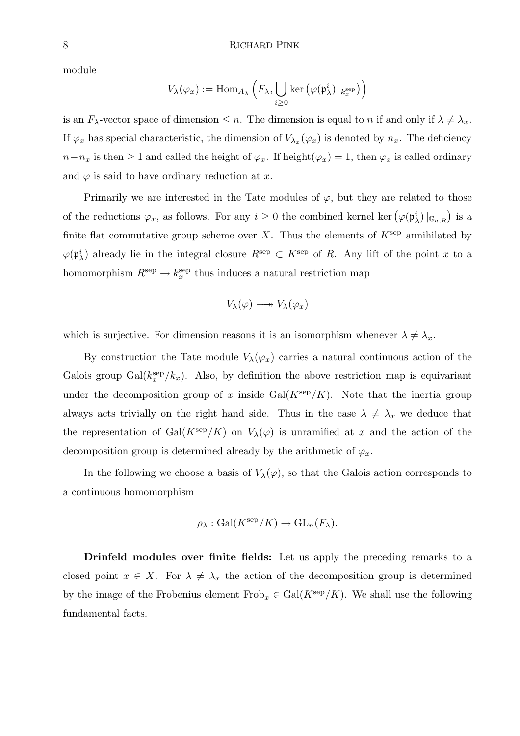module

$$
V_{\lambda}(\varphi_x) := \mathrm{Hom}_{A_{\lambda}}\left(F_{\lambda}, \bigcup_{i \geq 0} \ker \left(\varphi(\mathfrak{p}_{\lambda}^i) \big|_{k_x^{\mathrm{sep}}}\right)\right)
$$

is an  $F_{\lambda}$ -vector space of dimension  $\leq n$ . The dimension is equal to n if and only if  $\lambda \neq \lambda_x$ . If  $\varphi_x$  has special characteristic, the dimension of  $V_{\lambda_x}(\varphi_x)$  is denoted by  $n_x$ . The deficiency  $n-n_x$  is then  $\geq 1$  and called the height of  $\varphi_x$ . If height $(\varphi_x) = 1$ , then  $\varphi_x$  is called ordinary and  $\varphi$  is said to have ordinary reduction at x.

Primarily we are interested in the Tate modules of  $\varphi$ , but they are related to those of the reductions  $\varphi_x$ , as follows. For any  $i \geq 0$  the combined kernel ker $(\varphi(\mathfrak{p}_{\lambda}^i)|_{\mathbb{G}_{a,R}})$  is a finite flat commutative group scheme over  $X$ . Thus the elements of  $K^{\text{sep}}$  annihilated by  $\varphi(\mathfrak{p}_{\lambda}^i)$  already lie in the integral closure  $R^{\text{sep}} \subset K^{\text{sep}}$  of R. Any lift of the point x to a homomorphism  $R^{\text{sep}} \to k_x^{\text{sep}}$  thus induces a natural restriction map

$$
V_{\lambda}(\varphi) \longrightarrow V_{\lambda}(\varphi_x)
$$

which is surjective. For dimension reasons it is an isomorphism whenever  $\lambda \neq \lambda_x$ .

By construction the Tate module  $V_{\lambda}(\varphi_x)$  carries a natural continuous action of the Galois group  $Gal(k_x^{\text{sep}}/k_x)$ . Also, by definition the above restriction map is equivariant under the decomposition group of x inside  $Gal(K^{\text{sep}}/K)$ . Note that the inertia group always acts trivially on the right hand side. Thus in the case  $\lambda \neq \lambda_x$  we deduce that the representation of Gal( $K^{\text{sep}}/K$ ) on  $V_{\lambda}(\varphi)$  is unramified at x and the action of the decomposition group is determined already by the arithmetic of  $\varphi_x$ .

In the following we choose a basis of  $V_{\lambda}(\varphi)$ , so that the Galois action corresponds to a continuous homomorphism

$$
\rho_{\lambda}: \text{Gal}(K^{\text{sep}}/K) \to \text{GL}_n(F_{\lambda}).
$$

Drinfeld modules over finite fields: Let us apply the preceding remarks to a closed point  $x \in X$ . For  $\lambda \neq \lambda_x$  the action of the decomposition group is determined by the image of the Frobenius element  $Frob_x \in Gal(K^{\text{sep}}/K)$ . We shall use the following fundamental facts.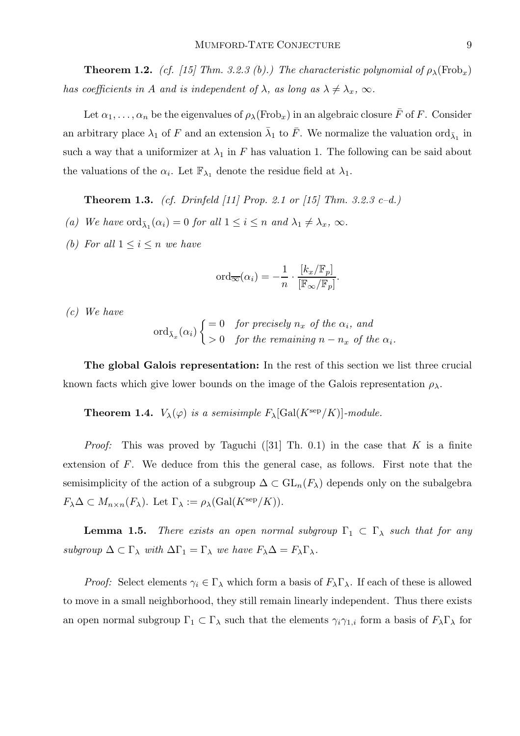**Theorem 1.2.** (cf. [15] Thm. 3.2.3 (b).) The characteristic polynomial of  $\rho_{\lambda}(\text{Frob}_x)$ has coefficients in A and is independent of  $\lambda$ , as long as  $\lambda \neq \lambda_x$ ,  $\infty$ .

Let  $\alpha_1, \ldots, \alpha_n$  be the eigenvalues of  $\rho_\lambda(\text{Frob}_x)$  in an algebraic closure  $\bar{F}$  of F. Consider an arbitrary place  $\lambda_1$  of F and an extension  $\bar{\lambda}_1$  to  $\bar{F}$ . We normalize the valuation ord $_{\bar{\lambda}_1}$  in such a way that a uniformizer at  $\lambda_1$  in F has valuation 1. The following can be said about the valuations of the  $\alpha_i$ . Let  $\mathbb{F}_{\lambda_1}$  denote the residue field at  $\lambda_1$ .

**Theorem 1.3.** (cf. Drinfeld [11] Prop. 2.1 or [15] Thm. 3.2.3 c–d.)

- (a) We have  $\operatorname{ord}_{\bar{\lambda}_1}(\alpha_i) = 0$  for all  $1 \leq i \leq n$  and  $\lambda_1 \neq \lambda_x$ ,  $\infty$ .
- (b) For all  $1 \leq i \leq n$  we have

$$
\mathrm{ord}_{\overline{\infty}}(\alpha_i) = -\frac{1}{n} \cdot \frac{[k_x/\mathbb{F}_p]}{[\mathbb{F}_{\infty}/\mathbb{F}_p]}.
$$

(c) We have

$$
\operatorname{ord}_{\bar{\lambda}_x}(\alpha_i) \begin{cases} = 0 & \text{for precisely } n_x \text{ of the } \alpha_i, \text{ and} \\ > 0 & \text{for the remaining } n - n_x \text{ of the } \alpha_i. \end{cases}
$$

The global Galois representation: In the rest of this section we list three crucial known facts which give lower bounds on the image of the Galois representation  $\rho_{\lambda}$ .

**Theorem 1.4.**  $V_{\lambda}(\varphi)$  is a semisimple  $F_{\lambda}[\text{Gal}(K^{\text{sep}}/K)]$ -module.

*Proof:* This was proved by Taguchi ([31] Th. 0.1) in the case that K is a finite extension of F. We deduce from this the general case, as follows. First note that the semisimplicity of the action of a subgroup  $\Delta \subset GL_n(F_\lambda)$  depends only on the subalgebra  $F_{\lambda} \Delta \subset M_{n \times n}(F_{\lambda}).$  Let  $\Gamma_{\lambda} := \rho_{\lambda}(\text{Gal}(K^{\text{sep}}/K)).$ 

**Lemma 1.5.** There exists an open normal subgroup  $\Gamma_1 \subset \Gamma_\lambda$  such that for any subgroup  $\Delta \subset \Gamma_{\lambda}$  with  $\Delta \Gamma_1 = \Gamma_{\lambda}$  we have  $F_{\lambda} \Delta = F_{\lambda} \Gamma_{\lambda}$ .

*Proof:* Select elements  $\gamma_i \in \Gamma_\lambda$  which form a basis of  $F_\lambda \Gamma_\lambda$ . If each of these is allowed to move in a small neighborhood, they still remain linearly independent. Thus there exists an open normal subgroup  $\Gamma_1 \subset \Gamma_\lambda$  such that the elements  $\gamma_i \gamma_{1,i}$  form a basis of  $F_\lambda \Gamma_\lambda$  for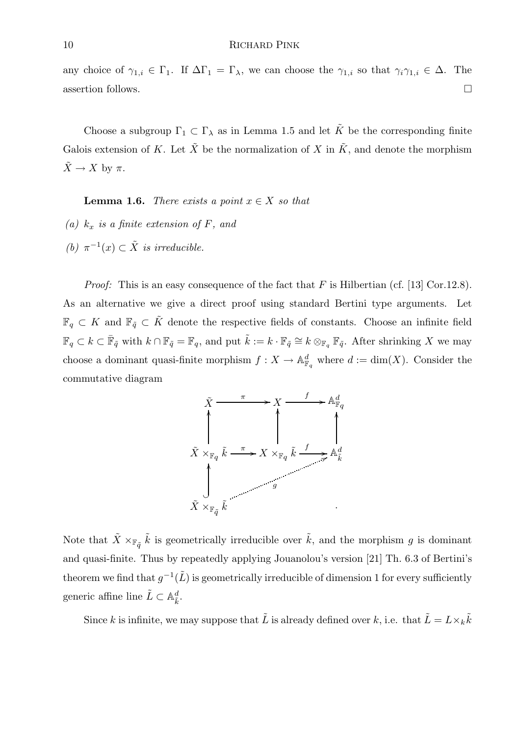any choice of  $\gamma_{1,i} \in \Gamma_1$ . If  $\Delta\Gamma_1 = \Gamma_\lambda$ , we can choose the  $\gamma_{1,i}$  so that  $\gamma_i \gamma_{1,i} \in \Delta$ . The assertion follows.  $\Box$ 

Choose a subgroup  $\Gamma_1 \subset \Gamma_\lambda$  as in Lemma 1.5 and let  $\tilde{K}$  be the corresponding finite Galois extension of K. Let  $\tilde{X}$  be the normalization of X in  $\tilde{K}$ , and denote the morphism  $\tilde{X} \to X$  by  $\pi$ .

**Lemma 1.6.** There exists a point  $x \in X$  so that

- (a)  $k_x$  is a finite extension of F, and
- (b)  $\pi^{-1}(x) \subset \tilde{X}$  is irreducible.

*Proof:* This is an easy consequence of the fact that  $F$  is Hilbertian (cf. [13] Cor.12.8). As an alternative we give a direct proof using standard Bertini type arguments. Let  $\mathbb{F}_q \subset K$  and  $\mathbb{F}_{\tilde{q}} \subset \tilde{K}$  denote the respective fields of constants. Choose an infinite field  $\mathbb{F}_q \subset k \subset \bar{\mathbb{F}}_{\tilde{q}}$  with  $k \cap \mathbb{F}_{\tilde{q}} = \mathbb{F}_q$ , and put  $\tilde{k} := k \cdot \mathbb{F}_{\tilde{q}} \cong k \otimes_{\mathbb{F}_q} \mathbb{F}_{\tilde{q}}$ . After shrinking X we may choose a dominant quasi-finite morphism  $f: X \to \mathbb{A}^d_{\mathbb{F}_q}$  where  $d := \dim(X)$ . Consider the commutative diagram



Note that  $\tilde{X} \times_{\mathbb{F}_{q}} \tilde{k}$  is geometrically irreducible over  $\tilde{k}$ , and the morphism g is dominant and quasi-finite. Thus by repeatedly applying Jouanolou's version [21] Th. 6.3 of Bertini's theorem we find that  $g^{-1}(\tilde{L})$  is geometrically irreducible of dimension 1 for every sufficiently generic affine line  $\tilde{L} \subset \mathbb{A}_{\tilde{k}}^d$ .

Since k is infinite, we may suppose that  $\tilde{L}$  is already defined over k, i.e. that  $\tilde{L} = L \times_k \tilde{k}$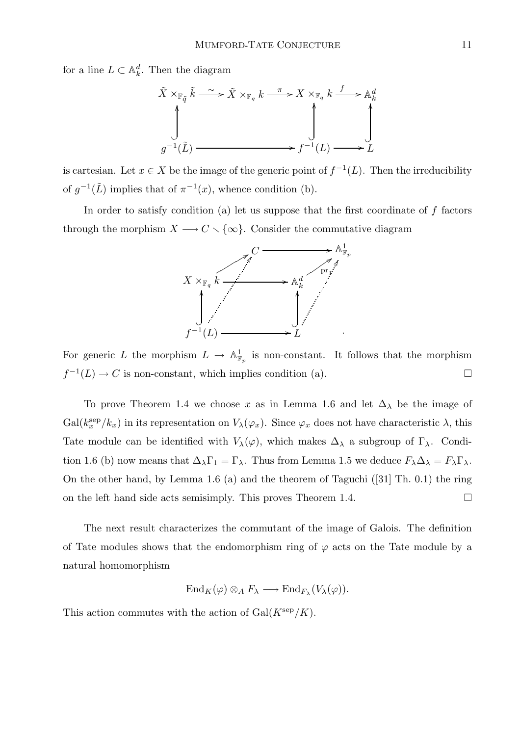for a line  $L \subset \mathbb{A}_k^d$ . Then the diagram



is cartesian. Let  $x \in X$  be the image of the generic point of  $f^{-1}(L)$ . Then the irreducibility of  $g^{-1}(\tilde{L})$  implies that of  $\pi^{-1}(x)$ , whence condition (b).

In order to satisfy condition (a) let us suppose that the first coordinate of  $f$  factors through the morphism  $X \longrightarrow C \setminus \{\infty\}$ . Consider the commutative diagram



For generic L the morphism  $L \to \mathbb{A}^1_{\mathbb{F}_p}$  is non-constant. It follows that the morphism  $f^{-1}(L) \to C$  is non-constant, which implies condition (a).

To prove Theorem 1.4 we choose x as in Lemma 1.6 and let  $\Delta_{\lambda}$  be the image of  $Gal(k_x^{\text{sep}}/k_x)$  in its representation on  $V_{\lambda}(\varphi_x)$ . Since  $\varphi_x$  does not have characteristic  $\lambda$ , this Tate module can be identified with  $V_{\lambda}(\varphi)$ , which makes  $\Delta_{\lambda}$  a subgroup of  $\Gamma_{\lambda}$ . Condition 1.6 (b) now means that  $\Delta_{\lambda}\Gamma_1 = \Gamma_{\lambda}$ . Thus from Lemma 1.5 we deduce  $F_{\lambda}\Delta_{\lambda} = F_{\lambda}\Gamma_{\lambda}$ . On the other hand, by Lemma 1.6 (a) and the theorem of Taguchi ([31] Th. 0.1) the ring on the left hand side acts semisimply. This proves Theorem 1.4.  $\Box$ 

The next result characterizes the commutant of the image of Galois. The definition of Tate modules shows that the endomorphism ring of  $\varphi$  acts on the Tate module by a natural homomorphism

$$
\operatorname{End}_K(\varphi) \otimes_A F_\lambda \longrightarrow \operatorname{End}_{F_\lambda}(V_\lambda(\varphi)).
$$

This action commutes with the action of  $Gal(K^{\text{sep}}/K)$ .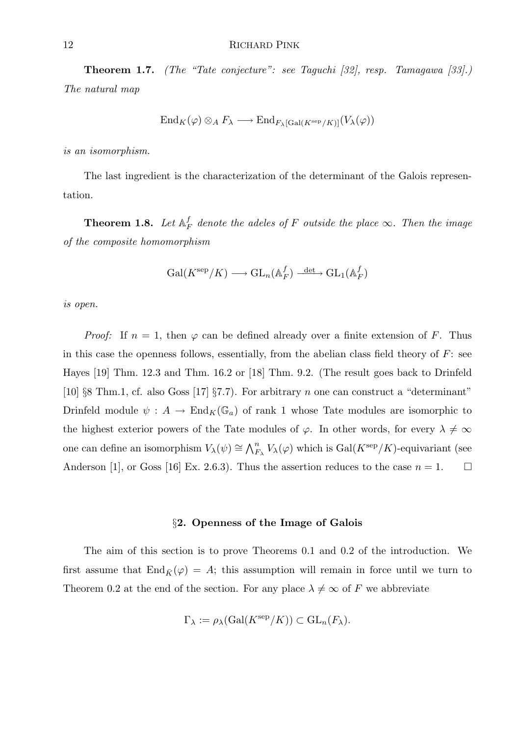Theorem 1.7. (The "Tate conjecture": see Taguchi [32], resp. Tamagawa [33].) The natural map

$$
\operatorname{End}_K(\varphi) \otimes_A F_\lambda \longrightarrow \operatorname{End}_{F_\lambda[\operatorname{Gal}(K^{\operatorname{sep}}/K)]}(V_\lambda(\varphi))
$$

is an isomorphism.

The last ingredient is the characterization of the determinant of the Galois representation.

**Theorem 1.8.** Let  $\mathbb{A}_F^f$  $^J_F$  denote the adeles of F outside the place  $\infty$ . Then the image of the composite homomorphism

$$
\mathrm{Gal}(K^{\mathrm{sep}}/K) \longrightarrow \mathrm{GL}_n(\mathbb{A}_F^f) \xrightarrow{\mathrm{det}} \mathrm{GL}_1(\mathbb{A}_F^f)
$$

is open.

*Proof:* If  $n = 1$ , then  $\varphi$  can be defined already over a finite extension of F. Thus in this case the openness follows, essentially, from the abelian class field theory of  $F$ : see Hayes [19] Thm. 12.3 and Thm. 16.2 or [18] Thm. 9.2. (The result goes back to Drinfeld [10] §8 Thm.1, cf. also Goss [17] §7.7). For arbitrary n one can construct a "determinant" Drinfeld module  $\psi : A \to \text{End}_K(\mathbb{G}_a)$  of rank 1 whose Tate modules are isomorphic to the highest exterior powers of the Tate modules of  $\varphi$ . In other words, for every  $\lambda \neq \infty$ one can define an isomorphism  $V_\lambda(\psi) \cong \bigwedge_{F_\lambda}^n V_\lambda(\varphi)$  which is  $Gal(K^{\text{sep}}/K)$ -equivariant (see Anderson [1], or Goss [16] Ex. 2.6.3). Thus the assertion reduces to the case  $n = 1$ .

#### §2. Openness of the Image of Galois

The aim of this section is to prove Theorems 0.1 and 0.2 of the introduction. We first assume that  $\text{End}_{\bar{K}}(\varphi) = A$ ; this assumption will remain in force until we turn to Theorem 0.2 at the end of the section. For any place  $\lambda \neq \infty$  of F we abbreviate

$$
\Gamma_{\lambda} := \rho_{\lambda}(\text{Gal}(K^{\text{sep}}/K)) \subset \text{GL}_n(F_{\lambda}).
$$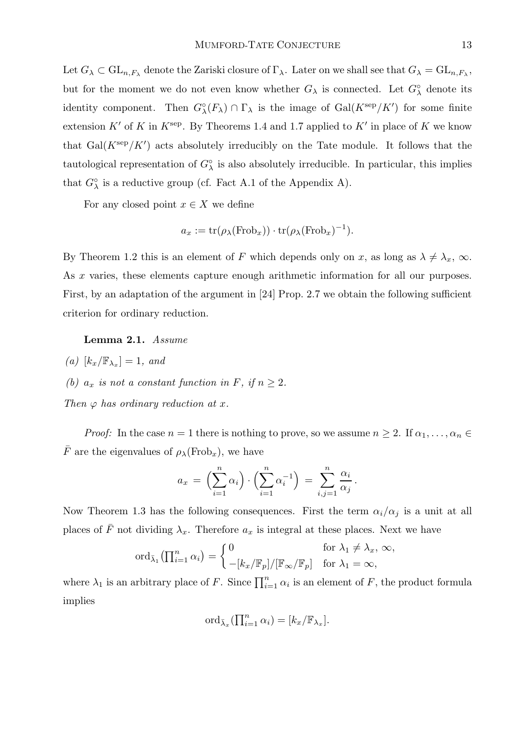Let  $G_\lambda\subset \mathrm{GL}_{n,F_\lambda}$  denote the Zariski closure of  $\Gamma_\lambda$ . Later on we shall see that  $G_\lambda=\mathrm{GL}_{n,F_\lambda},$ but for the moment we do not even know whether  $G_{\lambda}$  is connected. Let  $G_{\lambda}^{\circ}$  denote its identity component. Then  $G_{\lambda}^{\circ}(F_{\lambda}) \cap \Gamma_{\lambda}$  is the image of  $Gal(K^{\text{sep}}/K')$  for some finite extension K' of K in  $K^{\text{sep}}$ . By Theorems 1.4 and 1.7 applied to K' in place of K we know that  $Gal(K^{\text{sep}}/K')$  acts absolutely irreducibly on the Tate module. It follows that the tautological representation of  $G^{\circ}_{\lambda}$  is also absolutely irreducible. In particular, this implies that  $G_{\lambda}^{\circ}$  is a reductive group (cf. Fact A.1 of the Appendix A).

For any closed point  $x \in X$  we define

$$
a_x := \text{tr}(\rho_\lambda(\text{Frob}_x)) \cdot \text{tr}(\rho_\lambda(\text{Frob}_x)^{-1}).
$$

By Theorem 1.2 this is an element of F which depends only on x, as long as  $\lambda \neq \lambda_x$ ,  $\infty$ . As x varies, these elements capture enough arithmetic information for all our purposes. First, by an adaptation of the argument in [24] Prop. 2.7 we obtain the following sufficient criterion for ordinary reduction.

# Lemma 2.1. Assume

- $(a)$   $[k_x/\mathbb{F}_{\lambda_x}] = 1$ , and
- (b)  $a_x$  is not a constant function in F, if  $n \geq 2$ .

Then 
$$
\varphi
$$
 has ordinary reduction at  $x$ .

*Proof:* In the case  $n = 1$  there is nothing to prove, so we assume  $n \geq 2$ . If  $\alpha_1, \ldots, \alpha_n \in$  $\overline{F}$  are the eigenvalues of  $\rho_{\lambda}(\text{Frob}_x)$ , we have

$$
a_x = \left(\sum_{i=1}^n \alpha_i\right) \cdot \left(\sum_{i=1}^n \alpha_i^{-1}\right) = \sum_{i,j=1}^n \frac{\alpha_i}{\alpha_j}.
$$

Now Theorem 1.3 has the following consequences. First the term  $\alpha_i/\alpha_j$  is a unit at all places of  $\bar{F}$  not dividing  $\lambda_x$ . Therefore  $a_x$  is integral at these places. Next we have

$$
\operatorname{ord}_{\bar{\lambda}_1} \left( \prod_{i=1}^n \alpha_i \right) = \begin{cases} 0 & \text{for } \lambda_1 \neq \lambda_x, \, \infty, \\ -[k_x/\mathbb{F}_p]/[\mathbb{F}_\infty/\mathbb{F}_p] & \text{for } \lambda_1 = \infty, \end{cases}
$$

where  $\lambda_1$  is an arbitrary place of F. Since  $\prod_{i=1}^n \alpha_i$  is an element of F, the product formula implies

$$
\mathrm{ord}_{\bar{\lambda}_x}(\prod_{i=1}^n\alpha_i)=[k_x/\mathbb{F}_{\lambda_x}].
$$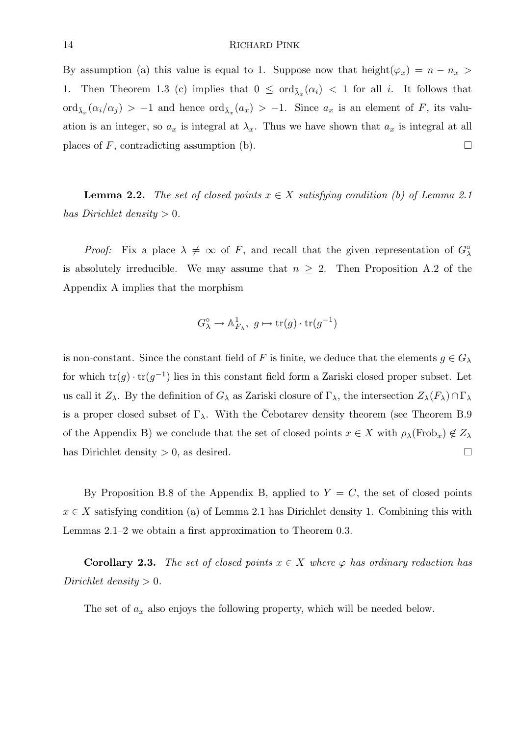By assumption (a) this value is equal to 1. Suppose now that  $height(\varphi_x) = n - n_x$ 1. Then Theorem 1.3 (c) implies that  $0 \leq \text{ord}_{\bar{\lambda}_x}(\alpha_i) < 1$  for all i. It follows that  $\text{ord}_{\bar{\lambda}_x}(\alpha_i/\alpha_j) > -1$  and hence  $\text{ord}_{\bar{\lambda}_x}(a_x) > -1$ . Since  $a_x$  is an element of F, its valuation is an integer, so  $a_x$  is integral at  $\lambda_x$ . Thus we have shown that  $a_x$  is integral at all places of F, contradicting assumption (b).

**Lemma 2.2.** The set of closed points  $x \in X$  satisfying condition (b) of Lemma 2.1 has Dirichlet density  $> 0$ .

*Proof:* Fix a place  $\lambda \neq \infty$  of F, and recall that the given representation of  $G^{\circ}_{\lambda}$ is absolutely irreducible. We may assume that  $n \geq 2$ . Then Proposition A.2 of the Appendix A implies that the morphism

$$
G^{\circ}_{\lambda} \to \mathbb{A}^1_{F_{\lambda}}, \ g \mapsto \text{tr}(g) \cdot \text{tr}(g^{-1})
$$

is non-constant. Since the constant field of F is finite, we deduce that the elements  $g \in G_{\lambda}$ for which  $\text{tr}(g) \cdot \text{tr}(g^{-1})$  lies in this constant field form a Zariski closed proper subset. Let us call it  $Z_\lambda$ . By the definition of  $G_\lambda$  as Zariski closure of  $\Gamma_\lambda$ , the intersection  $Z_\lambda(F_\lambda) \cap \Gamma_\lambda$ is a proper closed subset of  $\Gamma_{\lambda}$ . With the Cebotarev density theorem (see Theorem B.9 of the Appendix B) we conclude that the set of closed points  $x \in X$  with  $\rho_\lambda(\text{Frob}_x) \notin Z_\lambda$ has Dirichlet density  $> 0$ , as desired.

By Proposition B.8 of the Appendix B, applied to  $Y = C$ , the set of closed points  $x \in X$  satisfying condition (a) of Lemma 2.1 has Dirichlet density 1. Combining this with Lemmas 2.1–2 we obtain a first approximation to Theorem 0.3.

**Corollary 2.3.** The set of closed points  $x \in X$  where  $\varphi$  has ordinary reduction has Dirichlet density  $> 0$ .

The set of  $a_x$  also enjoys the following property, which will be needed below.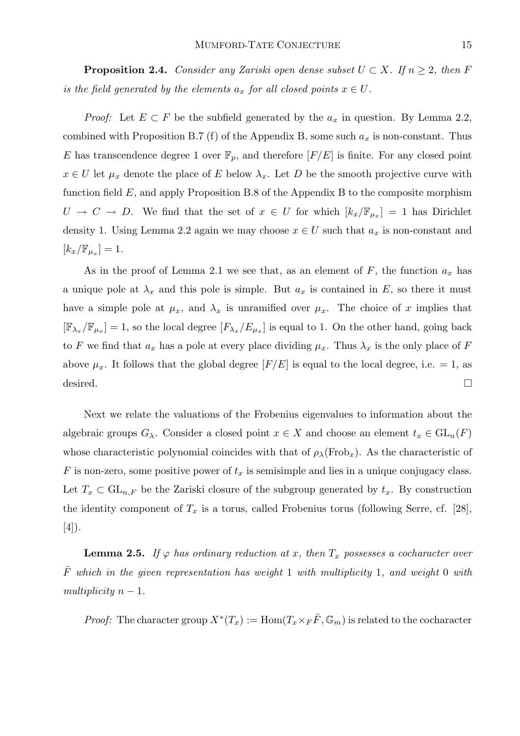**Proposition 2.4.** Consider any Zariski open dense subset  $U \subset X$ . If  $n \geq 2$ , then F is the field generated by the elements  $a_x$  for all closed points  $x \in U$ .

*Proof:* Let  $E \subset F$  be the subfield generated by the  $a_x$  in question. By Lemma 2.2, combined with Proposition B.7 (f) of the Appendix B, some such  $a_x$  is non-constant. Thus E has transcendence degree 1 over  $\mathbb{F}_p$ , and therefore  $[F/E]$  is finite. For any closed point  $x \in U$  let  $\mu_x$  denote the place of E below  $\lambda_x$ . Let D be the smooth projective curve with function field  $E$ , and apply Proposition B.8 of the Appendix B to the composite morphism  $U \to C \to D$ . We find that the set of  $x \in U$  for which  $[k_x/\mathbb{F}_{\mu_x}] = 1$  has Dirichlet density 1. Using Lemma 2.2 again we may choose  $x \in U$  such that  $a_x$  is non-constant and  $\left[k_x/\mathbb{F}_{\mu_x}\right]=1.$ 

As in the proof of Lemma 2.1 we see that, as an element of  $F$ , the function  $a_x$  has a unique pole at  $\lambda_x$  and this pole is simple. But  $a_x$  is contained in E, so there it must have a simple pole at  $\mu_x$ , and  $\lambda_x$  is unramified over  $\mu_x$ . The choice of x implies that  $[\mathbb{F}_{\lambda_x}/\mathbb{F}_{\mu_x}] = 1$ , so the local degree  $[F_{\lambda_x}/E_{\mu_x}]$  is equal to 1. On the other hand, going back to F we find that  $a_x$  has a pole at every place dividing  $\mu_x$ . Thus  $\lambda_x$  is the only place of F above  $\mu_x$ . It follows that the global degree  $[F/E]$  is equal to the local degree, i.e. = 1, as desired.  $\Box$ 

Next we relate the valuations of the Frobenius eigenvalues to information about the algebraic groups  $G_\lambda$ . Consider a closed point  $x \in X$  and choose an element  $t_x \in GL_n(F)$ whose characteristic polynomial coincides with that of  $\rho_{\lambda}(\text{Frob}_x)$ . As the characteristic of F is non-zero, some positive power of  $t_x$  is semisimple and lies in a unique conjugacy class. Let  $T_x \subset GL_{n,F}$  be the Zariski closure of the subgroup generated by  $t_x$ . By construction the identity component of  $T_x$  is a torus, called Frobenius torus (following Serre, cf. [28],  $[4]$ .

**Lemma 2.5.** If  $\varphi$  has ordinary reduction at x, then  $T_x$  possesses a cocharacter over  $\bar{F}$  which in the given representation has weight 1 with multiplicity 1, and weight 0 with multiplicity  $n-1$ .

*Proof:* The character group  $X^*(T_x) := \text{Hom}(T_x \times_F \overline{F}, \mathbb{G}_m)$  is related to the cocharacter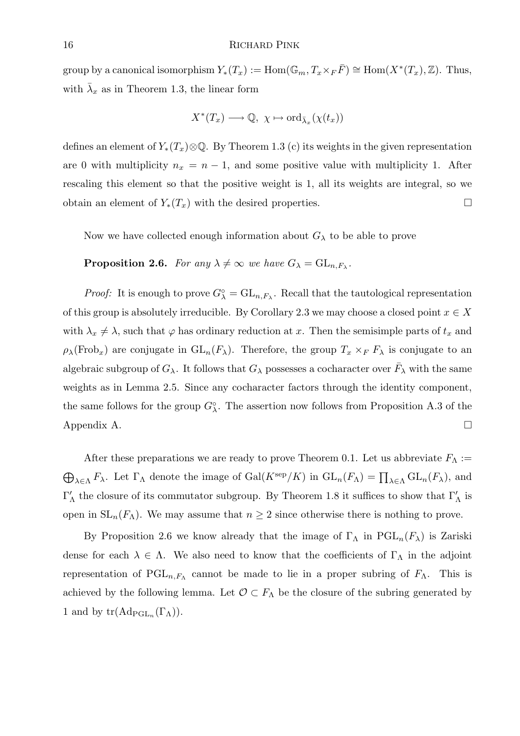group by a canonical isomorphism  $Y_*(T_x) := \text{Hom}(\mathbb{G}_m, T_x \times_F \overline{F}) \cong \text{Hom}(X^*(T_x), \mathbb{Z})$ . Thus, with  $\bar{\lambda}_x$  as in Theorem 1.3, the linear form

$$
X^*(T_x) \longrightarrow \mathbb{Q}, \ \chi \mapsto \text{ord}_{\bar{\lambda}_x}(\chi(t_x))
$$

defines an element of  $Y_*(T_x)\otimes\mathbb{Q}$ . By Theorem 1.3 (c) its weights in the given representation are 0 with multiplicity  $n_x = n - 1$ , and some positive value with multiplicity 1. After rescaling this element so that the positive weight is 1, all its weights are integral, so we obtain an element of  $Y_*(T_x)$  with the desired properties.

Now we have collected enough information about  $G_{\lambda}$  to be able to prove

**Proposition 2.6.** For any  $\lambda \neq \infty$  we have  $G_{\lambda} = GL_{n,F_{\lambda}}$ .

*Proof:* It is enough to prove  $G^{\circ}_{\lambda} = GL_{n,F_{\lambda}}$ . Recall that the tautological representation of this group is absolutely irreducible. By Corollary 2.3 we may choose a closed point  $x \in X$ with  $\lambda_x \neq \lambda$ , such that  $\varphi$  has ordinary reduction at x. Then the semisimple parts of  $t_x$  and  $\rho_{\lambda}(\text{Frob}_x)$  are conjugate in  $\text{GL}_n(F_{\lambda})$ . Therefore, the group  $T_x \times_F F_{\lambda}$  is conjugate to an algebraic subgroup of  $G_{\lambda}$ . It follows that  $G_{\lambda}$  possesses a cocharacter over  $\bar{F}_{\lambda}$  with the same weights as in Lemma 2.5. Since any cocharacter factors through the identity component, the same follows for the group  $G^{\circ}_{\lambda}$ . The assertion now follows from Proposition A.3 of the Appendix A.  $\Box$ 

After these preparations we are ready to prove Theorem 0.1. Let us abbreviate  $F_{\Lambda}$  :=  $\bigoplus_{\lambda \in \Lambda} F_{\lambda}$ . Let  $\Gamma_{\Lambda}$  denote the image of  $Gal(K^{\rm sep}/K)$  in  $GL_n(F_{\Lambda}) = \prod_{\lambda \in \Lambda} GL_n(F_{\lambda})$ , and  $\Gamma'_\Lambda$  the closure of its commutator subgroup. By Theorem 1.8 it suffices to show that  $\Gamma'_\Lambda$  is open in  $SL_n(F_\Lambda)$ . We may assume that  $n \geq 2$  since otherwise there is nothing to prove.

By Proposition 2.6 we know already that the image of  $\Gamma_{\Lambda}$  in PGL<sub>n</sub>( $F_{\lambda}$ ) is Zariski dense for each  $\lambda \in \Lambda$ . We also need to know that the coefficients of  $\Gamma_{\Lambda}$  in the adjoint representation of  $PGL_{n,F_{\Lambda}}$  cannot be made to lie in a proper subring of  $F_{\Lambda}$ . This is achieved by the following lemma. Let  $\mathcal{O} \subset F_{\Lambda}$  be the closure of the subring generated by 1 and by  $tr(\mathrm{Ad}_{\mathrm{PGL}_n}(\Gamma_\Lambda)).$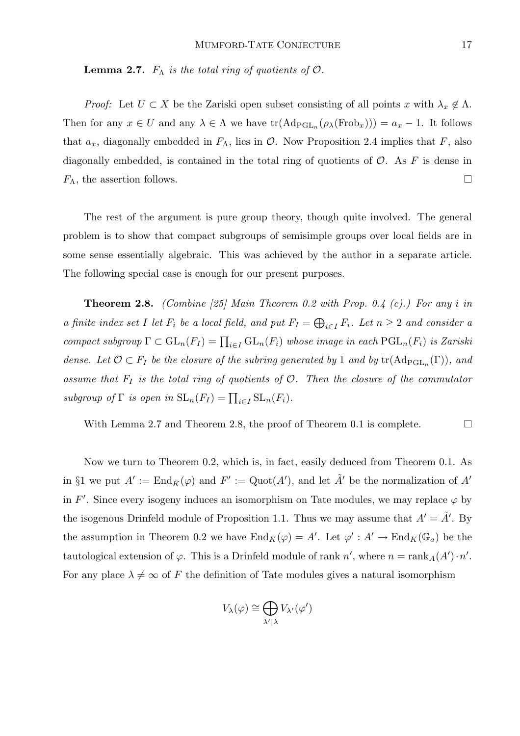**Lemma 2.7.**  $F_{\Lambda}$  is the total ring of quotients of  $\mathcal{O}$ .

*Proof:* Let  $U \subset X$  be the Zariski open subset consisting of all points x with  $\lambda_x \notin \Lambda$ . Then for any  $x \in U$  and any  $\lambda \in \Lambda$  we have  $\text{tr}(\text{Ad}_{\text{PGL}_n}(\rho_\lambda(\text{Frob}_x))) = a_x - 1$ . It follows that  $a_x$ , diagonally embedded in  $F_\Lambda$ , lies in  $\mathcal O$ . Now Proposition 2.4 implies that F, also diagonally embedded, is contained in the total ring of quotients of  $\mathcal{O}$ . As F is dense in  $F_{\Lambda}$ , the assertion follows.

The rest of the argument is pure group theory, though quite involved. The general problem is to show that compact subgroups of semisimple groups over local fields are in some sense essentially algebraic. This was achieved by the author in a separate article. The following special case is enough for our present purposes.

**Theorem 2.8.** (Combine [25] Main Theorem 0.2 with Prop. 0.4 (c).) For any i in a finite index set I let  $F_i$  be a local field, and put  $F_I = \bigoplus_{i \in I} F_i$ . Let  $n \geq 2$  and consider a compact subgroup  $\Gamma \subset GL_n(F_I) = \prod_{i \in I} GL_n(F_i)$  whose image in each  $\text{PGL}_n(F_i)$  is Zariski dense. Let  $\mathcal{O} \subset F_I$  be the closure of the subring generated by 1 and by  $tr(Ad_{PGL_n}(\Gamma))$ , and assume that  $F_I$  is the total ring of quotients of  $O$ . Then the closure of the commutator subgroup of  $\Gamma$  is open in  $\mathrm{SL}_n(F_I) = \prod_{i \in I} \mathrm{SL}_n(F_i)$ .

With Lemma 2.7 and Theorem 2.8, the proof of Theorem 0.1 is complete.  $\Box$ 

Now we turn to Theorem 0.2, which is, in fact, easily deduced from Theorem 0.1. As in §1 we put  $A' := \text{End}_{\bar{K}}(\varphi)$  and  $F' := \text{Quot}(A')$ , and let  $\tilde{A}'$  be the normalization of  $A'$ in F'. Since every isogeny induces an isomorphism on Tate modules, we may replace  $\varphi$  by the isogenous Drinfeld module of Proposition 1.1. Thus we may assume that  $A' = \tilde{A}'$ . By the assumption in Theorem 0.2 we have  $\text{End}_K(\varphi) = A'$ . Let  $\varphi' : A' \to \text{End}_K(\mathbb{G}_a)$  be the tautological extension of  $\varphi$ . This is a Drinfeld module of rank  $n'$ , where  $n = \text{rank}_A(A') \cdot n'$ . For any place  $\lambda \neq \infty$  of F the definition of Tate modules gives a natural isomorphism

$$
V_\lambda(\varphi)\cong \bigoplus_{\lambda'|\lambda} V_{\lambda'}(\varphi')
$$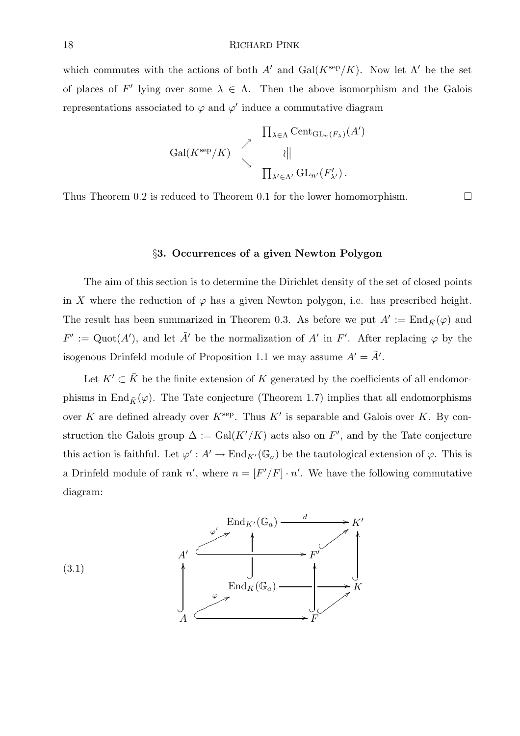which commutes with the actions of both A' and  $Gal(K^{\text{sep}}/K)$ . Now let  $\Lambda'$  be the set of places of F' lying over some  $\lambda \in \Lambda$ . Then the above isomorphism and the Galois representations associated to  $\varphi$  and  $\varphi'$  induce a commutative diagram

$$
\operatorname{Gal}(K^{\text{sep}}/K) \qquad \begin{array}{c}\n \prod_{\lambda \in \Lambda} \operatorname{Cent}_{\operatorname{GL}_n(F_{\lambda})}(A') \\
\parallel \\
\downarrow \\
\prod_{\lambda' \in \Lambda'} \operatorname{GL}_{n'}(F'_{\lambda'})\n \end{array}
$$

Thus Theorem 0.2 is reduced to Theorem 0.1 for the lower homomorphism.  $\Box$ 

#### §3. Occurrences of a given Newton Polygon

The aim of this section is to determine the Dirichlet density of the set of closed points in X where the reduction of  $\varphi$  has a given Newton polygon, i.e. has prescribed height. The result has been summarized in Theorem 0.3. As before we put  $A' := \text{End}_{\bar{K}}(\varphi)$  and  $F' := \mathrm{Quot}(A'),$  and let  $\tilde{A}'$  be the normalization of A' in F'. After replacing  $\varphi$  by the isogenous Drinfeld module of Proposition 1.1 we may assume  $A' = \tilde{A}'$ .

Let  $K' \subset \overline{K}$  be the finite extension of K generated by the coefficients of all endomorphisms in  $\text{End}_{\bar{K}}(\varphi)$ . The Tate conjecture (Theorem 1.7) implies that all endomorphisms over  $\bar{K}$  are defined already over  $K^{\text{sep}}$ . Thus  $K'$  is separable and Galois over K. By construction the Galois group  $\Delta := \text{Gal}(K'/K)$  acts also on F', and by the Tate conjecture this action is faithful. Let  $\varphi': A' \to \text{End}_{K'}(\mathbb{G}_a)$  be the tautological extension of  $\varphi$ . This is a Drinfeld module of rank  $n'$ , where  $n = [F'/F] \cdot n'$ . We have the following commutative diagram:

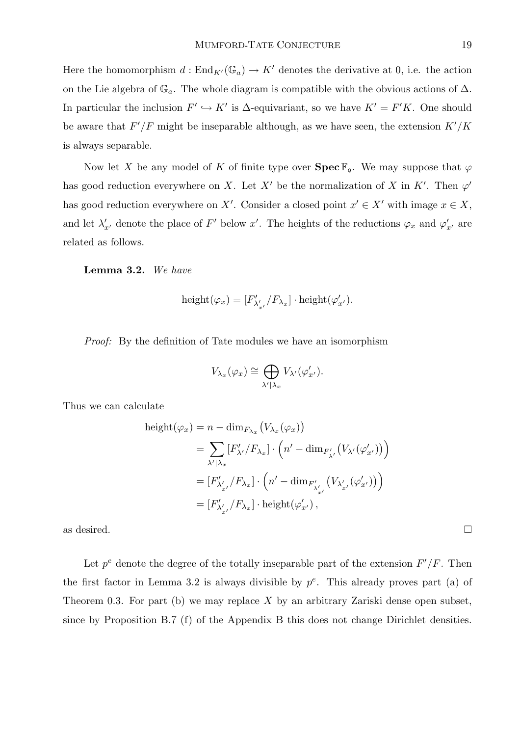Here the homomorphism  $d : \text{End}_{K'}(\mathbb{G}_a) \to K'$  denotes the derivative at 0, i.e. the action on the Lie algebra of  $\mathbb{G}_a$ . The whole diagram is compatible with the obvious actions of  $\Delta$ . In particular the inclusion  $F' \hookrightarrow K'$  is  $\Delta$ -equivariant, so we have  $K' = F'K$ . One should be aware that  $F'/F$  might be inseparable although, as we have seen, the extension  $K'/K$ is always separable.

Now let X be any model of K of finite type over  $\text{Spec } \mathbb{F}_q$ . We may suppose that  $\varphi$ has good reduction everywhere on X. Let X' be the normalization of X in K'. Then  $\varphi'$ has good reduction everywhere on X'. Consider a closed point  $x' \in X'$  with image  $x \in X$ , and let  $\lambda'_{x'}$  denote the place of F' below x'. The heights of the reductions  $\varphi_x$  and  $\varphi'_{x'}$  are related as follows.

Lemma 3.2. We have

$$
\mathrm{height}(\varphi_x) = [F'_{\lambda'_{x'}}/F_{\lambda_x}] \cdot \mathrm{height}(\varphi'_{x'}).
$$

Proof: By the definition of Tate modules we have an isomorphism

$$
V_{\lambda_x}(\varphi_x) \cong \bigoplus_{\lambda' \mid \lambda_x} V_{\lambda'}(\varphi'_{x'}).
$$

Thus we can calculate

$$
\begin{aligned} \text{height}(\varphi_x) &= n - \dim_{F_{\lambda_x}} \left( V_{\lambda_x}(\varphi_x) \right) \\ &= \sum_{\lambda' \mid \lambda_x} \left[ F'_{\lambda'} / F_{\lambda_x} \right] \cdot \left( n' - \dim_{F'_{\lambda'}} \left( V_{\lambda'}(\varphi'_{x'}) \right) \right) \\ &= \left[ F'_{\lambda'_{x'}} / F_{\lambda_x} \right] \cdot \left( n' - \dim_{F'_{\lambda'_{x'}}} \left( V_{\lambda'_{x'}}(\varphi'_{x'}) \right) \right) \\ &= \left[ F'_{\lambda'_{x'}} / F_{\lambda_x} \right] \cdot \text{height}(\varphi'_{x'}) \,, \end{aligned}
$$

as desired.  $\Box$ 

Let  $p^e$  denote the degree of the totally inseparable part of the extension  $F'/F$ . Then the first factor in Lemma 3.2 is always divisible by  $p^e$ . This already proves part (a) of Theorem 0.3. For part (b) we may replace X by an arbitrary Zariski dense open subset, since by Proposition B.7 (f) of the Appendix B this does not change Dirichlet densities.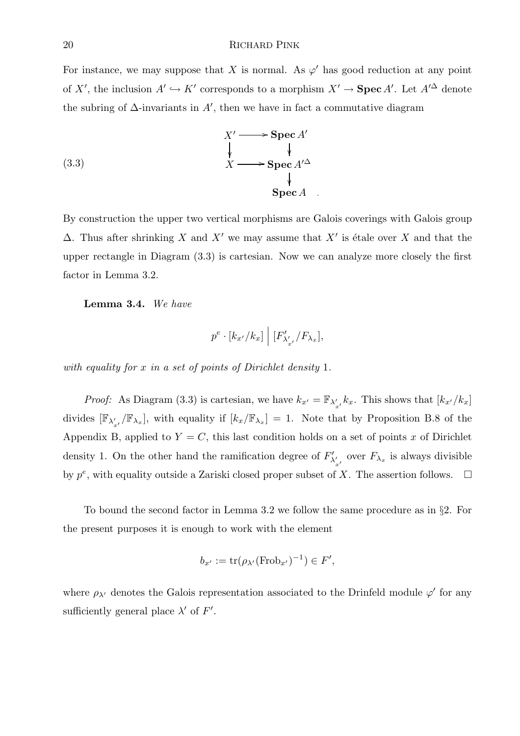For instance, we may suppose that X is normal. As  $\varphi'$  has good reduction at any point of X', the inclusion  $A' \hookrightarrow K'$  corresponds to a morphism  $X' \to \mathbf{Spec}\, A'$ . Let  $A'^{\Delta}$  denote the subring of  $\Delta$ -invariants in  $A'$ , then we have in fact a commutative diagram

(3.3)  
\n
$$
X' \longrightarrow \text{Spec } A'
$$
\n
$$
\downarrow \qquad \qquad \downarrow
$$
\n
$$
X \longrightarrow \text{Spec } A'^{\Delta}
$$
\n
$$
\downarrow
$$
\n
$$
\text{Spec } A
$$

By construction the upper two vertical morphisms are Galois coverings with Galois group  $\Delta$ . Thus after shrinking X and X' we may assume that X' is étale over X and that the upper rectangle in Diagram (3.3) is cartesian. Now we can analyze more closely the first factor in Lemma 3.2.

Lemma 3.4. We have

$$
p^e \cdot [k_{x'}/k_x] \mid [F'_{\lambda'_{x'}}/F_{\lambda_x}],
$$

with equality for x in a set of points of Dirichlet density 1.

*Proof:* As Diagram (3.3) is cartesian, we have  $k_{x'} = \mathbb{F}_{\lambda'_{x'}} k_x$ . This shows that  $[k_{x'}/k_x]$ divides  $[\mathbb{F}_{\lambda'_{x'}}/\mathbb{F}_{\lambda_x}]$ , with equality if  $[k_x/\mathbb{F}_{\lambda_x}] = 1$ . Note that by Proposition B.8 of the Appendix B, applied to  $Y = C$ , this last condition holds on a set of points x of Dirichlet density 1. On the other hand the ramification degree of  $F'_{\lambda}$  $\chi'_{\lambda'_{x'}}$  over  $F_{\lambda_x}$  is always divisible by  $p^e$ , with equality outside a Zariski closed proper subset of X. The assertion follows.  $\Box$ 

To bound the second factor in Lemma 3.2 we follow the same procedure as in §2. For the present purposes it is enough to work with the element

$$
b_{x'} := \operatorname{tr}(\rho_{\lambda'}(\operatorname{Frob}_{x'})^{-1}) \in F',
$$

where  $\rho_{\lambda'}$  denotes the Galois representation associated to the Drinfeld module  $\varphi'$  for any sufficiently general place  $\lambda'$  of  $F'$ .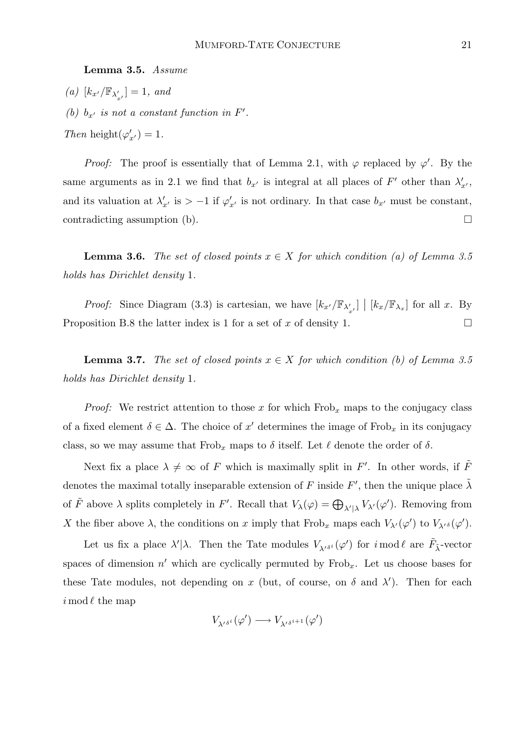Lemma 3.5. Assume

(a)  $[k_{x'}/\mathbb{F}_{\lambda'_{x'}}] = 1$ , and (b)  $b_{x'}$  is not a constant function in  $F'$ . Then height $(\varphi'_{x'}) = 1$ .

*Proof:* The proof is essentially that of Lemma 2.1, with  $\varphi$  replaced by  $\varphi'$ . By the same arguments as in 2.1 we find that  $b_{x'}$  is integral at all places of F' other than  $\lambda'_{x'}$ , and its valuation at  $\lambda'_{x'}$  is  $> -1$  if  $\varphi'_{x'}$  is not ordinary. In that case  $b_{x'}$  must be constant, contradicting assumption (b).  $\Box$ 

**Lemma 3.6.** The set of closed points  $x \in X$  for which condition (a) of Lemma 3.5 holds has Dirichlet density 1.

*Proof:* Since Diagram (3.3) is cartesian, we have  $[k_{x'}/\mathbb{F}_{\lambda'_{x'}}] \mid [k_x/\mathbb{F}_{\lambda_x}]$  for all x. By Proposition B.8 the latter index is 1 for a set of x of density 1.  $\Box$ 

**Lemma 3.7.** The set of closed points  $x \in X$  for which condition (b) of Lemma 3.5 holds has Dirichlet density 1.

*Proof:* We restrict attention to those x for which  $Frob_x$  maps to the conjugacy class of a fixed element  $\delta \in \Delta$ . The choice of x' determines the image of Frob<sub>x</sub> in its conjugacy class, so we may assume that  $Frob_x$  maps to  $\delta$  itself. Let  $\ell$  denote the order of  $\delta$ .

Next fix a place  $\lambda \neq \infty$  of F which is maximally split in F'. In other words, if  $\tilde{F}$ denotes the maximal totally inseparable extension of F inside F', then the unique place  $\tilde{\lambda}$ of  $\tilde{F}$  above  $\lambda$  splits completely in F'. Recall that  $V_{\lambda}(\varphi) = \bigoplus_{\lambda' \mid \lambda} V_{\lambda'}(\varphi')$ . Removing from X the fiber above  $\lambda$ , the conditions on x imply that  $Frob_x$  maps each  $V_{\lambda}(\varphi')$  to  $V_{\lambda'}(s(\varphi')$ .

Let us fix a place  $\lambda'|\lambda$ . Then the Tate modules  $V_{\lambda'}s^i(\varphi')$  for  $i \mod \ell$  are  $\tilde{F}_{\tilde{\lambda}}$ -vector spaces of dimension  $n'$  which are cyclically permuted by Frob<sub>x</sub>. Let us choose bases for these Tate modules, not depending on x (but, of course, on  $\delta$  and  $\lambda'$ ). Then for each  $i \mod \ell$  the map

$$
V_{\lambda^{\prime}\delta^{i}}(\varphi^{\prime})\longrightarrow V_{\lambda^{\prime}\delta^{i+1}}(\varphi^{\prime})
$$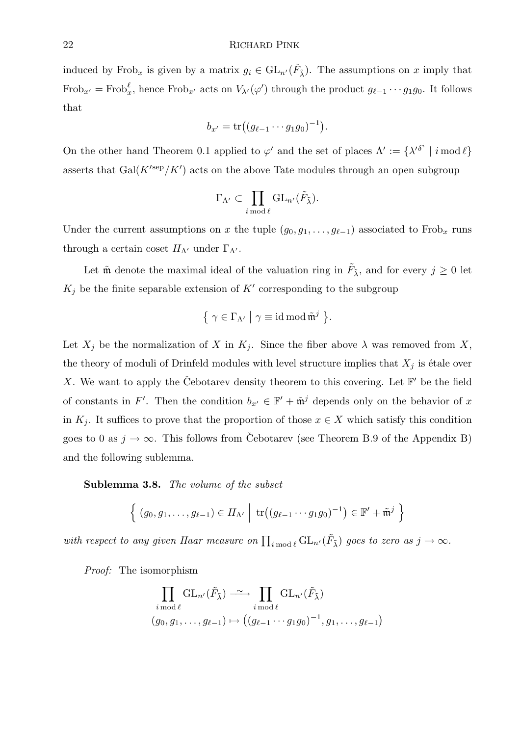induced by Frob<sub>x</sub> is given by a matrix  $g_i \in GL_{n'}(\tilde{F}_{\tilde{\lambda}})$ . The assumptions on x imply that  $Frob_{x'} = Frob_x^{\ell}$ , hence  $Frob_{x'}$  acts on  $V_{\lambda'}(\varphi')$  through the product  $g_{\ell-1} \cdots g_1 g_0$ . It follows that

$$
b_{x'} = \text{tr}\big((g_{\ell-1}\cdots g_1g_0)^{-1}\big).
$$

On the other hand Theorem 0.1 applied to  $\varphi'$  and the set of places  $\Lambda' := {\{\lambda'}^{\delta^i} \mid i \mod l\}$ asserts that  $Gal(K<sup>'sep</sup>/K')$  acts on the above Tate modules through an open subgroup

$$
\Gamma_{\Lambda'} \subset \prod_{i \bmod \ell} \mathrm{GL}_{n'}(\tilde{F}_{\tilde{\lambda}}).
$$

Under the current assumptions on x the tuple  $(g_0, g_1, \ldots, g_{\ell-1})$  associated to Frob<sub>x</sub> runs through a certain coset  $H_{\Lambda}$  under  $\Gamma_{\Lambda}$ .

Let  $\tilde{\mathfrak{m}}$  denote the maximal ideal of the valuation ring in  $\tilde{F}_{\tilde{\lambda}}$ , and for every  $j \geq 0$  let  $K_j$  be the finite separable extension of  $K'$  corresponding to the subgroup

$$
\{ \gamma \in \Gamma_{\Lambda'} \mid \gamma \equiv \mathrm{id} \,\mathrm{mod}\,\tilde{\mathfrak{m}}^j \,\}.
$$

Let  $X_j$  be the normalization of X in  $K_j$ . Since the fiber above  $\lambda$  was removed from X, the theory of moduli of Drinfeld modules with level structure implies that  $X_i$  is étale over X. We want to apply the Čebotarev density theorem to this covering. Let  $\mathbb{F}'$  be the field of constants in F'. Then the condition  $b_{x'} \in \mathbb{F}' + \tilde{\mathfrak{m}}^j$  depends only on the behavior of x in  $K_i$ . It suffices to prove that the proportion of those  $x \in X$  which satisfy this condition goes to 0 as  $j \to \infty$ . This follows from Cebotarev (see Theorem B.9 of the Appendix B) and the following sublemma.

Sublemma 3.8. The volume of the subset

$$
\left\{ (g_0,g_1,\ldots,g_{\ell-1}) \in H_{\Lambda'} \middle| \operatorname{tr}((g_{\ell-1}\cdots g_1g_0)^{-1}) \in \mathbb{F}' + \tilde{\mathfrak{m}}^j \right\}
$$

with respect to any given Haar measure on  $\prod_{i \bmod \ell} GL_{n'}(\tilde{F}_{\tilde{\lambda}})$  goes to zero as  $j \to \infty$ .

Proof: The isomorphism

$$
\prod_{i \bmod \ell} \mathrm{GL}_{n'}(\tilde{F}_{\tilde{\lambda}}) \longrightarrow \prod_{i \bmod \ell} \mathrm{GL}_{n'}(\tilde{F}_{\tilde{\lambda}})
$$
  

$$
(g_0, g_1, \dots, g_{\ell-1}) \mapsto ((g_{\ell-1} \cdots g_1 g_0)^{-1}, g_1, \dots, g_{\ell-1})
$$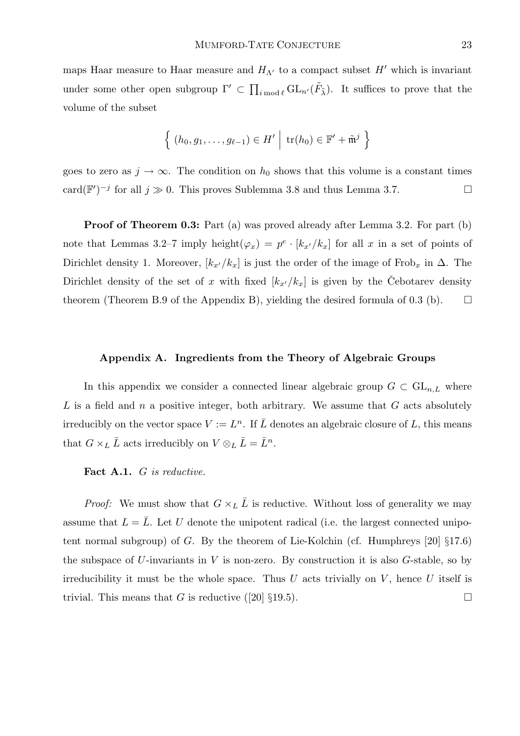maps Haar measure to Haar measure and  $H_{\Lambda}$  to a compact subset H' which is invariant under some other open subgroup  $\Gamma' \subset \prod_{i \bmod \ell} GL_{n'}(\tilde{F}_{\tilde{\lambda}})$ . It suffices to prove that the volume of the subset

$$
\left\{ (h_0, g_1, \ldots, g_{\ell-1}) \in H' \middle| \text{tr}(h_0) \in \mathbb{F}' + \tilde{\mathfrak{m}}^j \right\}
$$

goes to zero as  $j \to \infty$ . The condition on  $h_0$  shows that this volume is a constant times card( $\mathbb{F}'$ )<sup>-j</sup> for all  $j \gg 0$ . This proves Sublemma 3.8 and thus Lemma 3.7.

**Proof of Theorem 0.3:** Part (a) was proved already after Lemma 3.2. For part (b) note that Lemmas 3.2–7 imply height $(\varphi_x) = p^e \cdot [k_{x'}/k_x]$  for all x in a set of points of Dirichlet density 1. Moreover,  $[k_{x'}/k_x]$  is just the order of the image of Frob<sub>x</sub> in  $\Delta$ . The Dirichlet density of the set of x with fixed  $[k_{x'}/k_x]$  is given by the Cebotarev density theorem (Theorem B.9 of the Appendix B), yielding the desired formula of 0.3 (b).  $\Box$ 

#### Appendix A. Ingredients from the Theory of Algebraic Groups

In this appendix we consider a connected linear algebraic group  $G \subset GL_{n,L}$  where  $L$  is a field and n a positive integer, both arbitrary. We assume that  $G$  acts absolutely irreducibly on the vector space  $V := L<sup>n</sup>$ . If  $\overline{L}$  denotes an algebraic closure of  $L$ , this means that  $G \times_L \bar{L}$  acts irreducibly on  $V \otimes_L \bar{L} = \bar{L}^n$ .

#### Fact A.1. G is reductive.

*Proof:* We must show that  $G \times_L \overline{L}$  is reductive. Without loss of generality we may assume that  $L = \overline{L}$ . Let U denote the unipotent radical (i.e. the largest connected unipotent normal subgroup) of G. By the theorem of Lie-Kolchin (cf. Humphreys  $[20]$   $\S17.6$ ) the subspace of U-invariants in V is non-zero. By construction it is also  $G$ -stable, so by irreducibility it must be the whole space. Thus U acts trivially on  $V$ , hence U itself is trivial. This means that G is reductive ([20]  $\S 19.5$ ).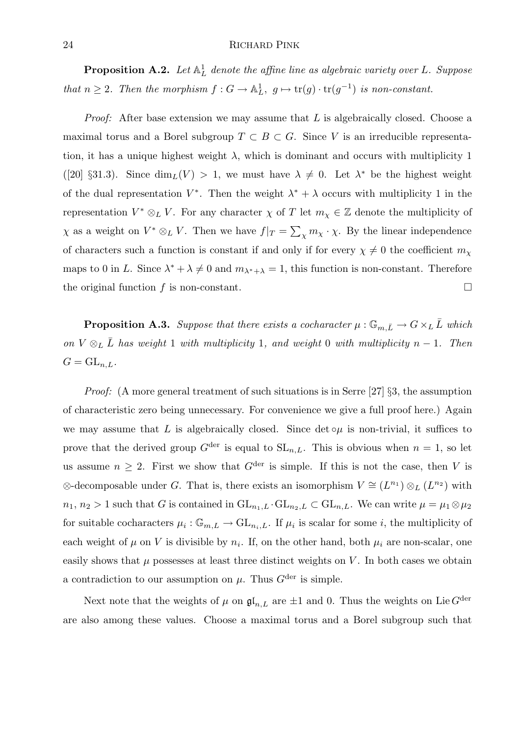**Proposition A.2.** Let  $\mathbb{A}^1_L$  denote the affine line as algebraic variety over L. Suppose that  $n \geq 2$ . Then the morphism  $f: G \to \mathbb{A}^1_L$ ,  $g \mapsto \text{tr}(g) \cdot \text{tr}(g^{-1})$  is non-constant.

*Proof:* After base extension we may assume that  $L$  is algebraically closed. Choose a maximal torus and a Borel subgroup  $T \subset B \subset G$ . Since V is an irreducible representation, it has a unique highest weight  $\lambda$ , which is dominant and occurs with multiplicity 1 ([20] §31.3). Since  $\dim_L(V) > 1$ , we must have  $\lambda \neq 0$ . Let  $\lambda^*$  be the highest weight of the dual representation  $V^*$ . Then the weight  $\lambda^* + \lambda$  occurs with multiplicity 1 in the representation  $V^* \otimes_L V$ . For any character  $\chi$  of T let  $m_{\chi} \in \mathbb{Z}$  denote the multiplicity of  $\chi$  as a weight on  $V^* \otimes_L V$ . Then we have  $f|_T = \sum_{\chi} m_{\chi} \cdot \chi$ . By the linear independence of characters such a function is constant if and only if for every  $\chi \neq 0$  the coefficient  $m_{\chi}$ maps to 0 in L. Since  $\lambda^* + \lambda \neq 0$  and  $m_{\lambda^*+\lambda} = 1$ , this function is non-constant. Therefore the original function f is non-constant.

**Proposition A.3.** Suppose that there exists a cocharacter  $\mu : \mathbb{G}_{m,\bar{L}} \to G \times_L \bar{L}$  which on  $V \otimes_L \bar{L}$  has weight 1 with multiplicity 1, and weight 0 with multiplicity n – 1. Then  $G = GL_{n,L}$ .

*Proof:* (A more general treatment of such situations is in Serre [27]  $\S$ 3, the assumption of characteristic zero being unnecessary. For convenience we give a full proof here.) Again we may assume that L is algebraically closed. Since  $\det \circ \mu$  is non-trivial, it suffices to prove that the derived group  $G^{\text{der}}$  is equal to  $SL_{n,L}$ . This is obvious when  $n = 1$ , so let us assume  $n \geq 2$ . First we show that  $G^{\text{der}}$  is simple. If this is not the case, then V is ⊗-decomposable under G. That is, there exists an isomorphism  $V \cong (L^{n_1}) \otimes_L (L^{n_2})$  with  $n_1, n_2 > 1$  such that G is contained in  $GL_{n_1,L} \cdot GL_{n_2,L} \subset GL_{n,L}$ . We can write  $\mu = \mu_1 \otimes \mu_2$ for suitable cocharacters  $\mu_i : \mathbb{G}_{m,L} \to GL_{n_i,L}$ . If  $\mu_i$  is scalar for some *i*, the multiplicity of each weight of  $\mu$  on V is divisible by  $n_i$ . If, on the other hand, both  $\mu_i$  are non-scalar, one easily shows that  $\mu$  possesses at least three distinct weights on V. In both cases we obtain a contradiction to our assumption on  $\mu$ . Thus  $G^{\text{der}}$  is simple.

Next note that the weights of  $\mu$  on  $\mathfrak{gl}_{n,L}$  are  $\pm 1$  and 0. Thus the weights on Lie  $G^{\text{der}}$ are also among these values. Choose a maximal torus and a Borel subgroup such that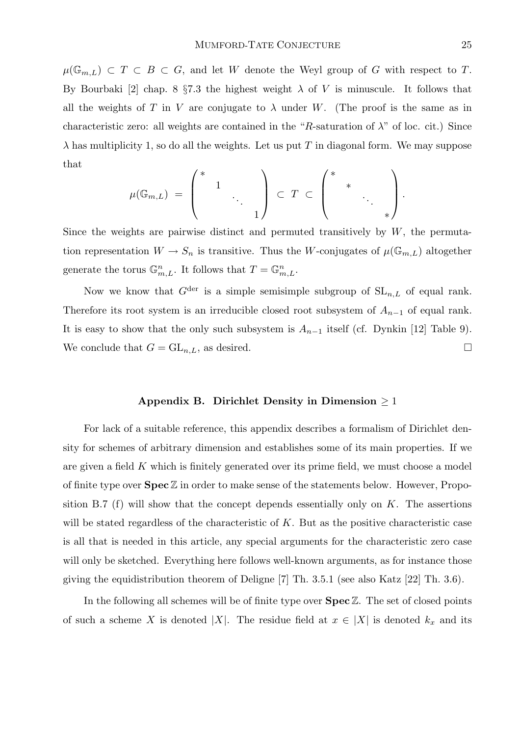$\mu(\mathbb{G}_{m,L}) \subset T \subset B \subset G$ , and let W denote the Weyl group of G with respect to T. By Bourbaki [2] chap. 8  $\S 7.3$  the highest weight  $\lambda$  of V is minuscule. It follows that all the weights of T in V are conjugate to  $\lambda$  under W. (The proof is the same as in characteristic zero: all weights are contained in the "R-saturation of  $\lambda$ " of loc. cit.) Since  $\lambda$  has multiplicity 1, so do all the weights. Let us put T in diagonal form. We may suppose that

$$
\mu(\mathbb{G}_{m,L}) = \begin{pmatrix} * & & & \\ & 1 & & \\ & & \ddots & \\ & & & 1 \end{pmatrix} \subset T \subset \begin{pmatrix} * & & & \\ & * & & \\ & & \ddots & \\ & & & * \end{pmatrix}.
$$

Since the weights are pairwise distinct and permuted transitively by  $W$ , the permutation representation  $W \to S_n$  is transitive. Thus the W-conjugates of  $\mu(\mathbb{G}_{m,L})$  altogether generate the torus  $\mathbb{G}_{m,L}^n$ . It follows that  $T = \mathbb{G}_{m,L}^n$ .

Now we know that  $G^{\text{der}}$  is a simple semisimple subgroup of  $SL_{n,L}$  of equal rank. Therefore its root system is an irreducible closed root subsystem of  $A_{n-1}$  of equal rank. It is easy to show that the only such subsystem is  $A_{n-1}$  itself (cf. Dynkin [12] Table 9). We conclude that  $G = GL_{n,L}$ , as desired.

# Appendix B. Dirichlet Density in Dimension  $\geq 1$

For lack of a suitable reference, this appendix describes a formalism of Dirichlet density for schemes of arbitrary dimension and establishes some of its main properties. If we are given a field  $K$  which is finitely generated over its prime field, we must choose a model of finite type over  $\textbf{Spec}\,\mathbb{Z}$  in order to make sense of the statements below. However, Proposition B.7 (f) will show that the concept depends essentially only on  $K$ . The assertions will be stated regardless of the characteristic of K. But as the positive characteristic case is all that is needed in this article, any special arguments for the characteristic zero case will only be sketched. Everything here follows well-known arguments, as for instance those giving the equidistribution theorem of Deligne [7] Th. 3.5.1 (see also Katz [22] Th. 3.6).

In the following all schemes will be of finite type over  $\text{Spec } \mathbb{Z}$ . The set of closed points of such a scheme X is denoted |X|. The residue field at  $x \in |X|$  is denoted  $k_x$  and its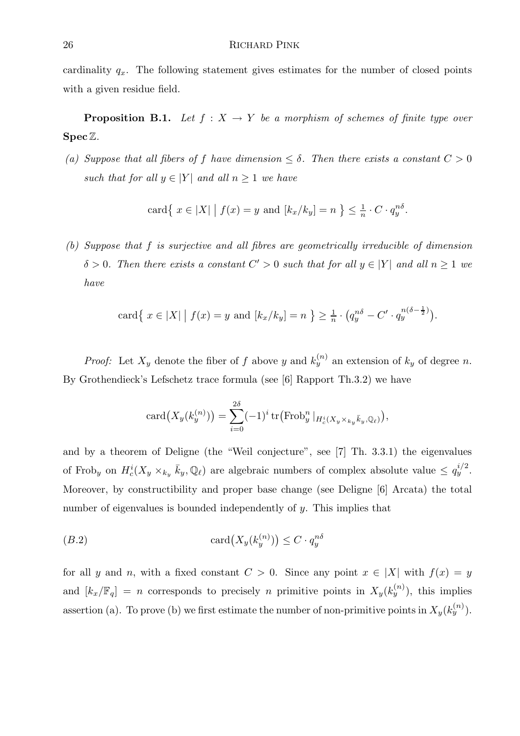cardinality  $q_x$ . The following statement gives estimates for the number of closed points with a given residue field.

**Proposition B.1.** Let  $f : X \to Y$  be a morphism of schemes of finite type over  $\operatorname{Spec} \mathbb{Z}$ .

(a) Suppose that all fibers of f have dimension  $\leq \delta$ . Then there exists a constant  $C > 0$ such that for all  $y \in |Y|$  and all  $n \geq 1$  we have

$$
\operatorname{card} \{ x \in |X| \mid f(x) = y \text{ and } [k_x/k_y] = n \} \le \frac{1}{n} \cdot C \cdot q_y^{n\delta}.
$$

(b) Suppose that f is surjective and all fibres are geometrically irreducible of dimension  $\delta > 0$ . Then there exists a constant  $C' > 0$  such that for all  $y \in |Y|$  and all  $n \ge 1$  we have

card{ 
$$
x \in |X|
$$
 |  $f(x) = y$  and  $[k_x/k_y] = n$  }  $\ge \frac{1}{n} \cdot (q_y^{n\delta} - C' \cdot q_y^{n(\delta - \frac{1}{2})}).$ 

*Proof:* Let  $X_y$  denote the fiber of f above y and  $k_y^{(n)}$  an extension of  $k_y$  of degree n. By Grothendieck's Lefschetz trace formula (see [6] Rapport Th.3.2) we have

$$
card(X_y(k_y^{(n)})) = \sum_{i=0}^{2\delta} (-1)^i tr( \operatorname{Frob}_y^n |_{H_c^i(X_y \times_{k_y} \bar{k}_y, \mathbb{Q}_\ell)}),
$$

and by a theorem of Deligne (the "Weil conjecture", see [7] Th. 3.3.1) the eigenvalues of Frob<sub>y</sub> on  $H_c^i(X_y \times_{k_y} \bar{k}_y, \mathbb{Q}_\ell)$  are algebraic numbers of complex absolute value  $\leq q_y^{i/2}$ . Moreover, by constructibility and proper base change (see Deligne [6] Arcata) the total number of eigenvalues is bounded independently of y. This implies that

$$
(B.2)\qquad \qquad \text{card}\big(X_y(k_y^{(n)})\big) \le C \cdot q_y^{n\delta}
$$

for all y and n, with a fixed constant  $C > 0$ . Since any point  $x \in |X|$  with  $f(x) = y$ and  $[k_x/\mathbb{F}_q] = n$  corresponds to precisely n primitive points in  $X_y(k_y^{(n)})$ , this implies assertion (a). To prove (b) we first estimate the number of non-primitive points in  $X_y(k_y^{(n)})$ .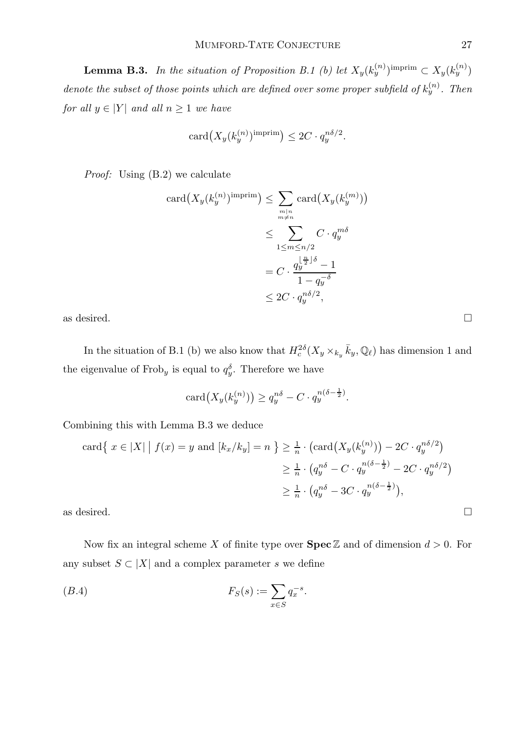**Lemma B.3.** In the situation of Proposition B.1 (b) let  $X_y(k_y^{(n)})^{\text{imprim}} \subset X_y(k_y^{(n)})$ denote the subset of those points which are defined over some proper subfield of  $k_y^{(n)}$ . Then for all  $y \in |Y|$  and all  $n \geq 1$  we have

$$
card(X_y(k_y^{(n)})^{\text{imprim}}) \leq 2C \cdot q_y^{n\delta/2}.
$$

Proof: Using (B.2) we calculate

$$
card(X_y(k_y^{(n)})^{\text{imprim}}) \leq \sum_{\substack{m|n \ p \equiv n}} card(X_y(k_y^{(m)}))
$$

$$
\leq \sum_{1 \leq m \leq n/2} C \cdot q_y^{m\delta}
$$

$$
= C \cdot \frac{q_y^{\lfloor \frac{n}{2} \rfloor \delta} - 1}{1 - q_y^{-\delta}}
$$

$$
\leq 2C \cdot q_y^{n\delta/2},
$$

as desired.  $\Box$ 

In the situation of B.1 (b) we also know that  $H_c^{2\delta}(X_y\times_{k_y} \bar{k}_y,\mathbb{Q}_\ell)$  has dimension 1 and the eigenvalue of Frob<sub>y</sub> is equal to  $q_y^{\delta}$ . Therefore we have

$$
card(X_y(k_y^{(n)})) \ge q_y^{n\delta} - C \cdot q_y^{n(\delta - \frac{1}{2})}.
$$

Combining this with Lemma B.3 we deduce

$$
\operatorname{card}\left\{\left|x \in |X| \mid f(x) = y \text{ and } [k_x/k_y] = n\right\}\right\} \ge \frac{1}{n} \cdot \left(\operatorname{card}\left(X_y(k_y^{(n)})\right) - 2C \cdot q_y^{n\delta/2}\right)
$$
\n
$$
\ge \frac{1}{n} \cdot \left(q_y^{n\delta} - C \cdot q_y^{n(\delta - \frac{1}{2})} - 2C \cdot q_y^{n\delta/2}\right)
$$
\n
$$
\ge \frac{1}{n} \cdot \left(q_y^{n\delta} - 3C \cdot q_y^{n(\delta - \frac{1}{2})}\right),
$$
\nas desired.

Now fix an integral scheme X of finite type over  $\text{Spec } \mathbb{Z}$  and of dimension  $d > 0$ . For any subset  $S \subset |X|$  and a complex parameter s we define

$$
(B.4) \t\t FS(s) := \sum_{x \in S} q_x^{-s}.
$$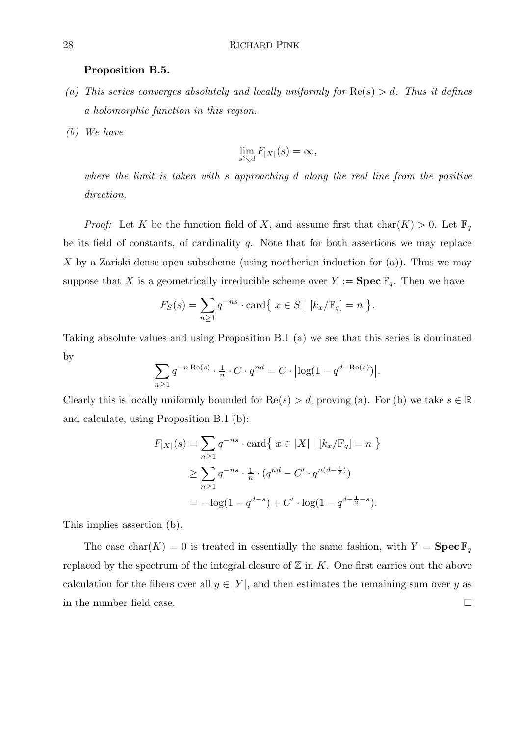#### Proposition B.5.

- (a) This series converges absolutely and locally uniformly for  $\text{Re}(s) > d$ . Thus it defines a holomorphic function in this region.
- (b) We have

$$
\lim_{s \searrow d} F_{|X|}(s) = \infty,
$$

where the limit is taken with s approaching d along the real line from the positive direction.

*Proof:* Let K be the function field of X, and assume first that  $char(K) > 0$ . Let  $\mathbb{F}_q$ be its field of constants, of cardinality  $q$ . Note that for both assertions we may replace X by a Zariski dense open subscheme (using noetherian induction for  $(a)$ ). Thus we may suppose that X is a geometrically irreducible scheme over  $Y := \textbf{Spec} \, \mathbb{F}_q$ . Then we have

$$
F_S(s) = \sum_{n \ge 1} q^{-ns} \cdot \text{card}\{x \in S \mid [k_x/\mathbb{F}_q] = n\}.
$$

Taking absolute values and using Proposition B.1 (a) we see that this series is dominated by

$$
\sum_{n\geq 1} q^{-n \operatorname{Re}(s)} \cdot \frac{1}{n} \cdot C \cdot q^{nd} = C \cdot \left| \log(1 - q^{d - \operatorname{Re}(s)}) \right|.
$$

Clearly this is locally uniformly bounded for  $\text{Re}(s) > d$ , proving (a). For (b) we take  $s \in \mathbb{R}$ and calculate, using Proposition B.1 (b):

$$
F_{|X|}(s) = \sum_{n\geq 1} q^{-ns} \cdot \text{card}\{x \in |X| \mid [k_x/\mathbb{F}_q] = n\}
$$
  
\n
$$
\geq \sum_{n\geq 1} q^{-ns} \cdot \frac{1}{n} \cdot (q^{nd} - C' \cdot q^{n(d-\frac{1}{2})})
$$
  
\n
$$
= -\log(1 - q^{d-s}) + C' \cdot \log(1 - q^{d-\frac{1}{2}-s}).
$$

This implies assertion (b).

The case char(K) = 0 is treated in essentially the same fashion, with  $Y = \textbf{Spec }\mathbb{F}_q$ replaced by the spectrum of the integral closure of  $\mathbb Z$  in K. One first carries out the above calculation for the fibers over all  $y \in |Y|$ , and then estimates the remaining sum over y as in the number field case.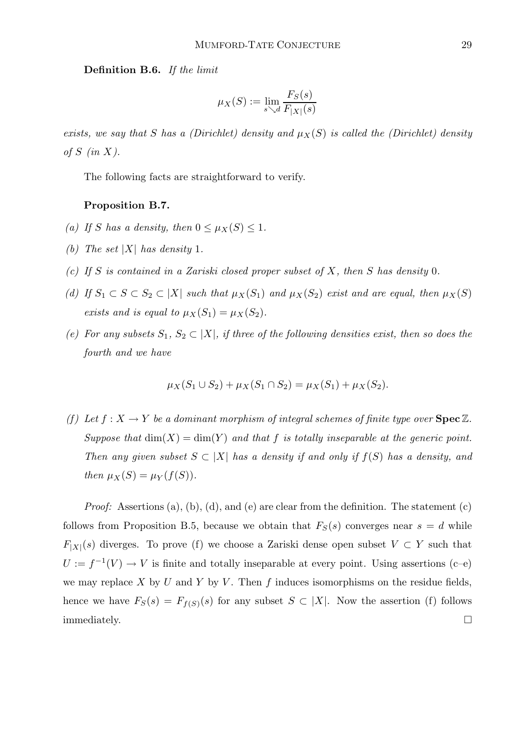Definition B.6. If the limit

$$
\mu_X(S) := \lim_{s \searrow d} \frac{F_S(s)}{F_{|X|}(s)}
$$

exists, we say that S has a (Dirichlet) density and  $\mu_X(S)$  is called the (Dirichlet) density of  $S$  (in  $X$ ).

The following facts are straightforward to verify.

# Proposition B.7.

- (a) If S has a density, then  $0 \leq \mu_X(S) \leq 1$ .
- (b) The set  $|X|$  has density 1.
- (c) If S is contained in a Zariski closed proper subset of X, then S has density 0.
- (d) If  $S_1 \subset S \subset S_2 \subset |X|$  such that  $\mu_X(S_1)$  and  $\mu_X(S_2)$  exist and are equal, then  $\mu_X(S)$ exists and is equal to  $\mu_X(S_1) = \mu_X(S_2)$ .
- (e) For any subsets  $S_1, S_2 \subset |X|$ , if three of the following densities exist, then so does the fourth and we have

$$
\mu_X(S_1 \cup S_2) + \mu_X(S_1 \cap S_2) = \mu_X(S_1) + \mu_X(S_2).
$$

(f) Let  $f: X \to Y$  be a dominant morphism of integral schemes of finite type over  $\text{Spec } \mathbb{Z}$ . Suppose that  $\dim(X) = \dim(Y)$  and that f is totally inseparable at the generic point. Then any given subset  $S \subset |X|$  has a density if and only if  $f(S)$  has a density, and then  $\mu_X(S) = \mu_Y(f(S)).$ 

*Proof:* Assertions (a), (b), (d), and (e) are clear from the definition. The statement (c) follows from Proposition B.5, because we obtain that  $F_S(s)$  converges near  $s = d$  while  $F_{|X|}(s)$  diverges. To prove (f) we choose a Zariski dense open subset  $V \subset Y$  such that  $U := f^{-1}(V) \to V$  is finite and totally inseparable at every point. Using assertions (c-e) we may replace X by U and Y by V. Then  $f$  induces isomorphisms on the residue fields, hence we have  $F_S(s) = F_{f(S)}(s)$  for any subset  $S \subset |X|$ . Now the assertion (f) follows  $\Box$ immediately.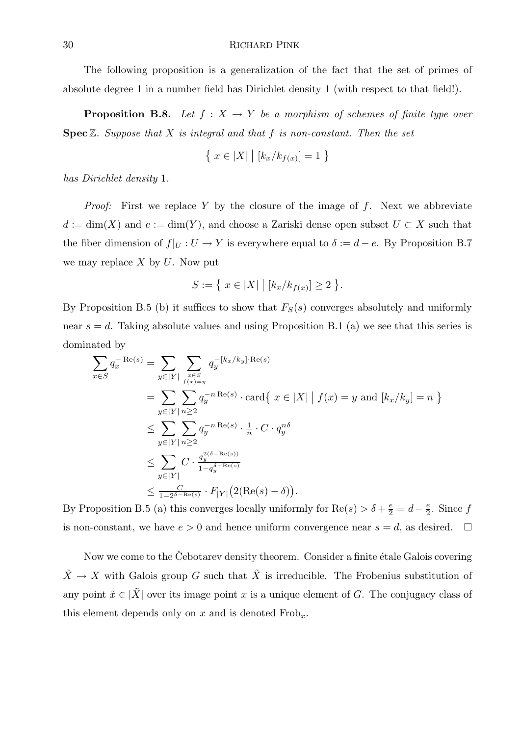The following proposition is a generalization of the fact that the set of primes of absolute degree 1 in a number field has Dirichlet density 1 (with respect to that field!).

**Proposition B.8.** Let  $f : X \to Y$  be a morphism of schemes of finite type over **Spec**  $\mathbb{Z}$ . Suppose that  $X$  is integral and that  $f$  is non-constant. Then the set

$$
\{ x \in |X| \mid [k_x/k_{f(x)}] = 1 \}
$$

has Dirichlet density 1.

*Proof:* First we replace Y by the closure of the image of  $f$ . Next we abbreviate  $d := \dim(X)$  and  $e := \dim(Y)$ , and choose a Zariski dense open subset  $U \subset X$  such that the fiber dimension of  $f|_U : U \to Y$  is everywhere equal to  $\delta := d - e$ . By Proposition B.7 we may replace  $X$  by  $U$ . Now put

$$
S := \{ x \in |X| \mid [k_x/k_{f(x)}] \ge 2 \}.
$$

By Proposition B.5 (b) it suffices to show that  $F<sub>S</sub>(s)$  converges absolutely and uniformly near  $s = d$ . Taking absolute values and using Proposition B.1 (a) we see that this series is dominated by

$$
\sum_{x \in S} q_x^{-\text{Re}(s)} = \sum_{y \in |Y|} \sum_{\substack{x \in S \\ f(x) = y}} q_y^{-[k_x/k_y] \cdot \text{Re}(s)}
$$
\n
$$
= \sum_{y \in |Y|} \sum_{n \ge 2} q_y^{-n \text{Re}(s)} \cdot \text{card}\{x \in |X| \mid f(x) = y \text{ and } [k_x/k_y] = n \}
$$
\n
$$
\le \sum_{y \in |Y|} \sum_{n \ge 2} q_y^{-n \text{Re}(s)} \cdot \frac{1}{n} \cdot C \cdot q_y^{n\delta}
$$
\n
$$
\le \sum_{y \in |Y|} C \cdot \frac{q_y^{2(\delta - \text{Re}(s))}}{1 - q_y^{\delta - \text{Re}(s)}}
$$
\n
$$
\le \frac{C}{1 - 2^{\delta - \text{Re}(s)}} \cdot F_{|Y|} (2(\text{Re}(s) - \delta)).
$$

By Proposition B.5 (a) this converges locally uniformly for  $\text{Re}(s) > \delta + \frac{e}{2} = d - \frac{e}{2}$  $\frac{e}{2}$ . Since  $f$ is non-constant, we have  $e > 0$  and hence uniform convergence near  $s = d$ , as desired.  $\Box$ 

Now we come to the Cebotarev density theorem. Consider a finite étale Galois covering  $\tilde{X} \to X$  with Galois group G such that  $\tilde{X}$  is irreducible. The Frobenius substitution of any point  $\tilde{x} \in |\tilde{X}|$  over its image point x is a unique element of G. The conjugacy class of this element depends only on x and is denoted  $Frob_x$ .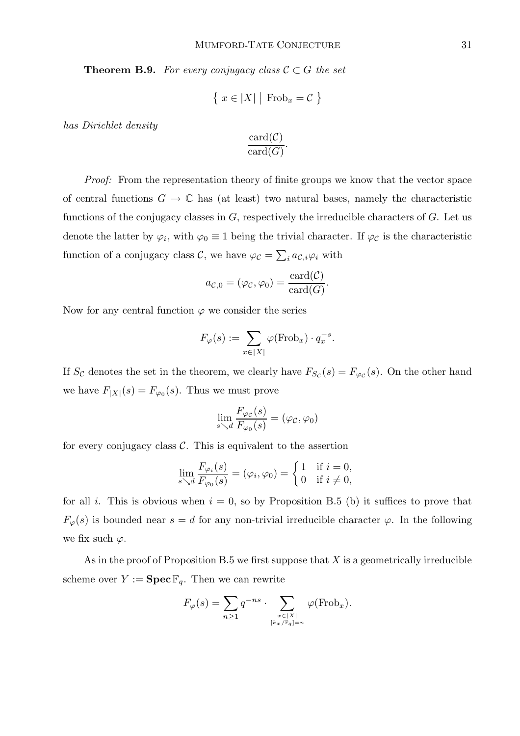**Theorem B.9.** For every conjugacy class  $C \subset G$  the set

$$
\{ x \in |X| \mid \text{Frob}_x = C \}
$$

has Dirichlet density

$$
\frac{\operatorname{card}(\mathcal{C})}{\operatorname{card}(G)}.
$$

Proof: From the representation theory of finite groups we know that the vector space of central functions  $G \to \mathbb{C}$  has (at least) two natural bases, namely the characteristic functions of the conjugacy classes in  $G$ , respectively the irreducible characters of  $G$ . Let us denote the latter by  $\varphi_i$ , with  $\varphi_0 \equiv 1$  being the trivial character. If  $\varphi_{\mathcal{C}}$  is the characteristic function of a conjugacy class  $\mathcal{C}$ , we have  $\varphi_{\mathcal{C}} = \sum_i a_{\mathcal{C},i} \varphi_i$  with

$$
a_{\mathcal{C},0} = (\varphi_{\mathcal{C}}, \varphi_0) = \frac{\operatorname{card}(\mathcal{C})}{\operatorname{card}(G)}.
$$

Now for any central function  $\varphi$  we consider the series

$$
F_{\varphi}(s) := \sum_{x \in |X|} \varphi(\text{Frob}_x) \cdot q_x^{-s}.
$$

If  $S_{\mathcal{C}}$  denotes the set in the theorem, we clearly have  $F_{S_{\mathcal{C}}}(s) = F_{\varphi_{\mathcal{C}}}(s)$ . On the other hand we have  $F_{|X|}(s) = F_{\varphi_0}(s)$ . Thus we must prove

$$
\lim_{s \searrow d} \frac{F_{\varphi_{\mathcal{C}}}(s)}{F_{\varphi_0}(s)} = (\varphi_{\mathcal{C}}, \varphi_0)
$$

for every conjugacy class  $\mathcal{C}$ . This is equivalent to the assertion

$$
\lim_{s \searrow d} \frac{F_{\varphi_i}(s)}{F_{\varphi_0}(s)} = (\varphi_i, \varphi_0) = \begin{cases} 1 & \text{if } i = 0, \\ 0 & \text{if } i \neq 0, \end{cases}
$$

for all i. This is obvious when  $i = 0$ , so by Proposition B.5 (b) it suffices to prove that  $F_{\varphi}(s)$  is bounded near  $s = d$  for any non-trivial irreducible character  $\varphi$ . In the following we fix such  $\varphi$ .

As in the proof of Proposition B.5 we first suppose that  $X$  is a geometrically irreducible scheme over  $Y := \textbf{Spec } \mathbb{F}_q$ . Then we can rewrite

$$
F_{\varphi}(s) = \sum_{n \geq 1} q^{-ns} \cdot \sum_{\substack{x \in |X| \\ [kx/\mathbb{F}_q] = n}} \varphi(\text{Frob}_x).
$$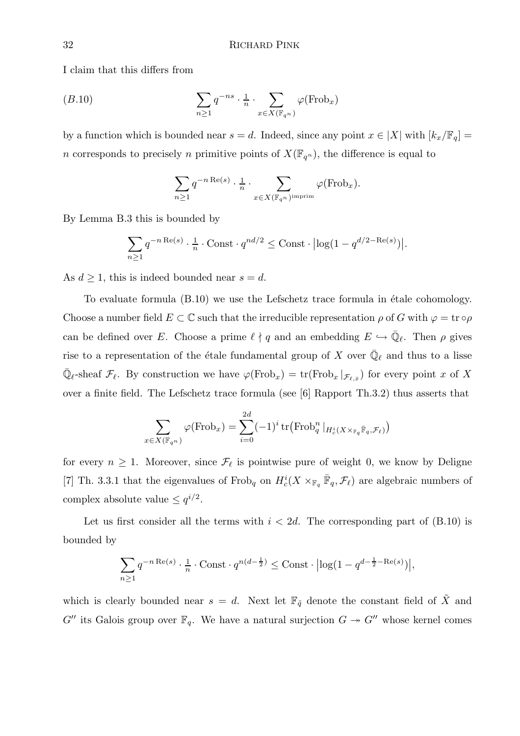I claim that this differs from

$$
(B.10) \qquad \qquad \sum_{n\geq 1} q^{-ns} \cdot \frac{1}{n} \cdot \sum_{x\in X(\mathbb{F}_{q^n})} \varphi(\text{Frob}_x)
$$

by a function which is bounded near  $s = d$ . Indeed, since any point  $x \in |X|$  with  $[k_x/\mathbb{F}_q] =$ n corresponds to precisely n primitive points of  $X(\mathbb{F}_{q^n})$ , the difference is equal to

$$
\sum_{n\geq 1} q^{-n \operatorname{Re}(s)} \cdot \frac{1}{n} \cdot \sum_{x \in X(\mathbb{F}_{q^n})^{\operatorname{imprim}}} \varphi(\operatorname{Frob}_x).
$$

By Lemma B.3 this is bounded by

$$
\sum_{n\geq 1} q^{-n \operatorname{Re}(s)} \cdot \frac{1}{n} \cdot \operatorname{Const} \cdot q^{nd/2} \leq \operatorname{Const} \cdot \left| \log(1 - q^{d/2 - \operatorname{Re}(s)}) \right|.
$$

As  $d \geq 1$ , this is indeed bounded near  $s = d$ .

To evaluate formula  $(B.10)$  we use the Lefschetz trace formula in étale cohomology. Choose a number field  $E \subset \mathbb{C}$  such that the irreducible representation  $\rho$  of G with  $\varphi = \text{tr} \circ \rho$ can be defined over E. Choose a prime  $\ell \nmid q$  and an embedding  $E \hookrightarrow \overline{\mathbb{Q}}_{\ell}$ . Then  $\rho$  gives rise to a representation of the étale fundamental group of X over  $\bar{\mathbb{Q}}_{\ell}$  and thus to a lisse  $\overline{\mathbb{Q}}_{\ell}$ -sheaf  $\mathcal{F}_{\ell}$ . By construction we have  $\varphi(\text{Frob}_x) = \text{tr}(\text{Frob}_x | \mathcal{F}_{\ell,x})$  for every point x of X over a finite field. The Lefschetz trace formula (see [6] Rapport Th.3.2) thus asserts that

$$
\sum_{x \in X(\mathbb{F}_{q^n})} \varphi(\text{Frob}_x) = \sum_{i=0}^{2d} (-1)^i \operatorname{tr}(\text{Frob}_q^n |_{H_c^i(X \times_{\mathbb{F}_q} \bar{\mathbb{F}}_q, \mathcal{F}_\ell)})
$$

for every  $n \geq 1$ . Moreover, since  $\mathcal{F}_{\ell}$  is pointwise pure of weight 0, we know by Deligne [7] Th. 3.3.1 that the eigenvalues of Frob<sub>q</sub> on  $H_c^i(X\times_{\mathbb{F}_q} \bar{\mathbb{F}}_q, \mathcal{F}_\ell)$  are algebraic numbers of complex absolute value  $\leq q^{i/2}$ .

Let us first consider all the terms with  $i < 2d$ . The corresponding part of  $(B.10)$  is bounded by

$$
\sum_{n\geq 1} q^{-n \operatorname{Re}(s)} \cdot \frac{1}{n} \cdot \operatorname{Const} \cdot q^{n(d-\frac{1}{2})} \leq \operatorname{Const} \cdot \left| \log(1 - q^{d - \frac{1}{2} - \operatorname{Re}(s)}) \right|,
$$

which is clearly bounded near  $s = d$ . Next let  $\mathbb{F}_{q}$  denote the constant field of  $\tilde{X}$  and  $G''$  its Galois group over  $\mathbb{F}_q$ . We have a natural surjection  $G \rightarrow G''$  whose kernel comes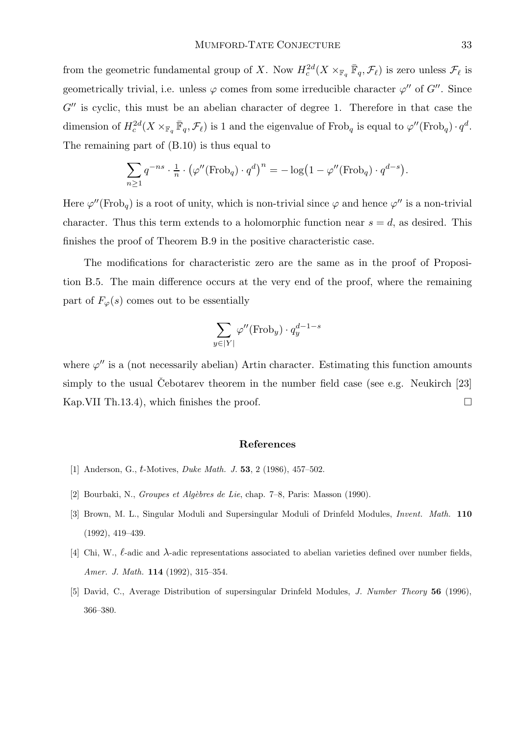from the geometric fundamental group of X. Now  $H_c^{2d}(X\times_{\mathbb{F}_q} \bar{\mathbb{F}}_q, \mathcal{F}_\ell)$  is zero unless  $\mathcal{F}_\ell$  is geometrically trivial, i.e. unless  $\varphi$  comes from some irreducible character  $\varphi''$  of  $G''$ . Since  $G''$  is cyclic, this must be an abelian character of degree 1. Therefore in that case the dimension of  $H^{2d}_c(X\times_{\mathbb{F}_q} \bar{\mathbb{F}}_q, \mathcal{F}_\ell)$  is 1 and the eigenvalue of Frob<sub>q</sub> is equal to  $\varphi''(\text{Frob}_q) \cdot q^d$ . The remaining part of (B.10) is thus equal to

$$
\sum_{n\geq 1} q^{-ns} \cdot \frac{1}{n} \cdot (\varphi''(\text{Frob}_{q}) \cdot q^{d})^{n} = -\log(1 - \varphi''(\text{Frob}_{q}) \cdot q^{d-s}).
$$

Here  $\varphi''(\text{Frob}_q)$  is a root of unity, which is non-trivial since  $\varphi$  and hence  $\varphi''$  is a non-trivial character. Thus this term extends to a holomorphic function near  $s = d$ , as desired. This finishes the proof of Theorem B.9 in the positive characteristic case.

The modifications for characteristic zero are the same as in the proof of Proposition B.5. The main difference occurs at the very end of the proof, where the remaining part of  $F_{\varphi}(s)$  comes out to be essentially

$$
\sum_{y \in |Y|} \varphi''(\text{Frob}_y) \cdot q_y^{d-1-s}
$$

where  $\varphi''$  is a (not necessarily abelian) Artin character. Estimating this function amounts simply to the usual Cebotarev theorem in the number field case (see e.g. Neukirch  $[23]$ ) Kap.VII Th.13.4), which finishes the proof.  $\Box$ 

#### References

- [1] Anderson, G., t-Motives, *Duke Math. J.* **53**, 2 (1986), 457–502.
- [2] Bourbaki, N., Groupes et Algèbres de Lie, chap. 7–8, Paris: Masson (1990).
- [3] Brown, M. L., Singular Moduli and Supersingular Moduli of Drinfeld Modules, Invent. Math. 110 (1992), 419–439.
- [4] Chi, W.,  $\ell$ -adic and  $\lambda$ -adic representations associated to abelian varieties defined over number fields, Amer. J. Math. **114** (1992), 315-354.
- [5] David, C., Average Distribution of supersingular Drinfeld Modules, J. Number Theory 56 (1996), 366–380.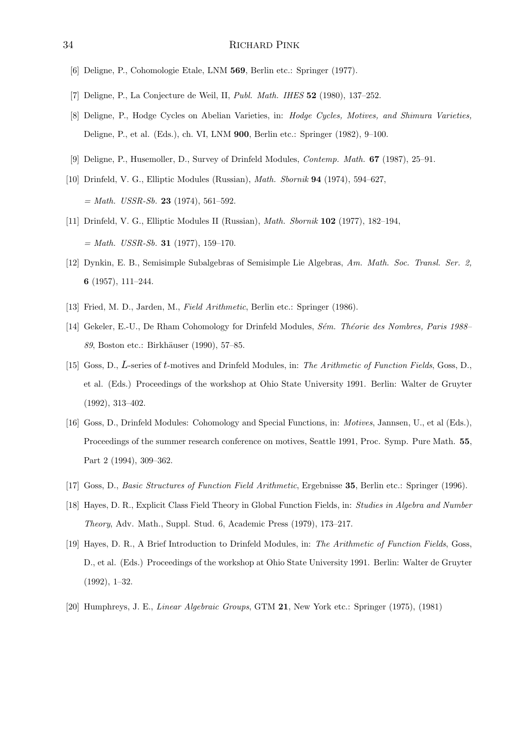- [6] Deligne, P., Cohomologie Etale, LNM 569, Berlin etc.: Springer (1977).
- [7] Deligne, P., La Conjecture de Weil, II, Publ. Math. IHES 52 (1980), 137–252.
- [8] Deligne, P., Hodge Cycles on Abelian Varieties, in: Hodge Cycles, Motives, and Shimura Varieties, Deligne, P., et al. (Eds.), ch. VI, LNM 900, Berlin etc.: Springer (1982), 9–100.
- [9] Deligne, P., Husemoller, D., Survey of Drinfeld Modules, Contemp. Math. 67 (1987), 25–91.
- [10] Drinfeld, V. G., Elliptic Modules (Russian), Math. Sbornik 94 (1974), 594–627,  $= Math. \; USSR-Sb.$  **23** (1974), 561–592.
- [11] Drinfeld, V. G., Elliptic Modules II (Russian), Math. Sbornik 102 (1977), 182–194,  $= Math. \; USSR-Sb.$  **31** (1977), 159-170.
- [12] Dynkin, E. B., Semisimple Subalgebras of Semisimple Lie Algebras, Am. Math. Soc. Transl. Ser. 2, 6 (1957), 111–244.
- [13] Fried, M. D., Jarden, M., Field Arithmetic, Berlin etc.: Springer (1986).
- [14] Gekeler, E.-U., De Rham Cohomology for Drinfeld Modules, Sém. Théorie des Nombres, Paris 1988– 89, Boston etc.: Birkhäuser (1990), 57–85.
- [15] Goss, D., L-series of t-motives and Drinfeld Modules, in: The Arithmetic of Function Fields, Goss, D., et al. (Eds.) Proceedings of the workshop at Ohio State University 1991. Berlin: Walter de Gruyter (1992), 313–402.
- [16] Goss, D., Drinfeld Modules: Cohomology and Special Functions, in: Motives, Jannsen, U., et al (Eds.), Proceedings of the summer research conference on motives, Seattle 1991, Proc. Symp. Pure Math. 55, Part 2 (1994), 309–362.
- [17] Goss, D., Basic Structures of Function Field Arithmetic, Ergebnisse 35, Berlin etc.: Springer (1996).
- [18] Hayes, D. R., Explicit Class Field Theory in Global Function Fields, in: Studies in Algebra and Number Theory, Adv. Math., Suppl. Stud. 6, Academic Press (1979), 173–217.
- [19] Hayes, D. R., A Brief Introduction to Drinfeld Modules, in: The Arithmetic of Function Fields, Goss, D., et al. (Eds.) Proceedings of the workshop at Ohio State University 1991. Berlin: Walter de Gruyter (1992), 1–32.
- [20] Humphreys, J. E., *Linear Algebraic Groups*, GTM 21, New York etc.: Springer (1975), (1981)